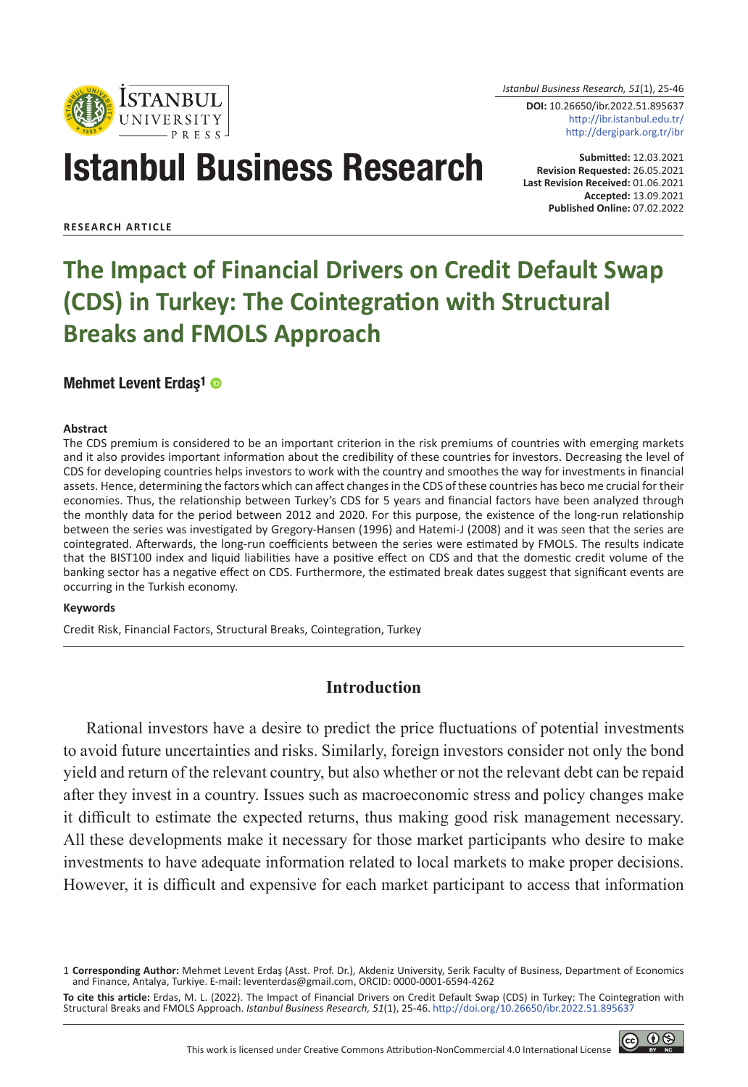

*Istanbul Business Research, 51*(1), 25-46

**DOI:** 10.26650/ibr.2022.51.895637 http://ibr.istanbul.edu.tr/ http://dergipark.org.tr/ibr

# Istanbul Business Research

**Submitted:** 12.03.2021 **Revision Requested:** 26.05.2021 **Last Revision Received:** 01.06.2021 **Accepted:** 13.09.2021 **Published Online:** 07.02.2022

**RESEARCH ARTICLE**

# **The Impact of Financial Drivers on Credit Default Swap (CDS) in Turkey: The Cointegration with Structural Breaks and FMOLS Approach**

#### [Mehmet Levent Erdaş1](https://orcid.org/0000-0001-6594-4262

)

#### **Abstract**

The CDS premium is considered to be an important criterion in the risk premiums of countries with emerging markets and it also provides important information about the credibility of these countries for investors. Decreasing the level of CDS for developing countries helps investors to work with the country and smoothes the way for investments in financial assets. Hence, determining the factors which can affect changes in the CDS of these countries has beco me crucial for their economies. Thus, the relationship between Turkey's CDS for 5 years and financial factors have been analyzed through the monthly data for the period between 2012 and 2020. For this purpose, the existence of the long-run relationship between the series was investigated by Gregory-Hansen (1996) and Hatemi-J (2008) and it was seen that the series are cointegrated. Afterwards, the long-run coefficients between the series were estimated by FMOLS. The results indicate that the BIST100 index and liquid liabilities have a positive effect on CDS and that the domestic credit volume of the banking sector has a negative effect on CDS. Furthermore, the estimated break dates suggest that significant events are occurring in the Turkish economy.

#### **Keywords**

Credit Risk, Financial Factors, Structural Breaks, Cointegration, Turkey

## **Introduction**

Rational investors have a desire to predict the price fluctuations of potential investments to avoid future uncertainties and risks. Similarly, foreign investors consider not only the bond yield and return of the relevant country, but also whether or not the relevant debt can be repaid after they invest in a country. Issues such as macroeconomic stress and policy changes make it difficult to estimate the expected returns, thus making good risk management necessary. All these developments make it necessary for those market participants who desire to make investments to have adequate information related to local markets to make proper decisions. However, it is difficult and expensive for each market participant to access that information



<sup>1</sup> **Corresponding Author:** Mehmet Levent Erdaş (Asst. Prof. Dr.), Akdeniz University, Serik Faculty of Business, Department of Economics and Finance, Antalya, Turkiye. E-mail: leventerdas@gmail.com, ORCID: 0000-0001-6594-4262

**To cite this article:** Erdas, M. L. (2022). The Impact of Financial Drivers on Credit Default Swap (CDS) in Turkey: The Cointegration with Structural Breaks and FMOLS Approach. *Istanbul Business Research, 51*(1), 25-46. http://doi.org/10.26650/ibr.2022.51.895637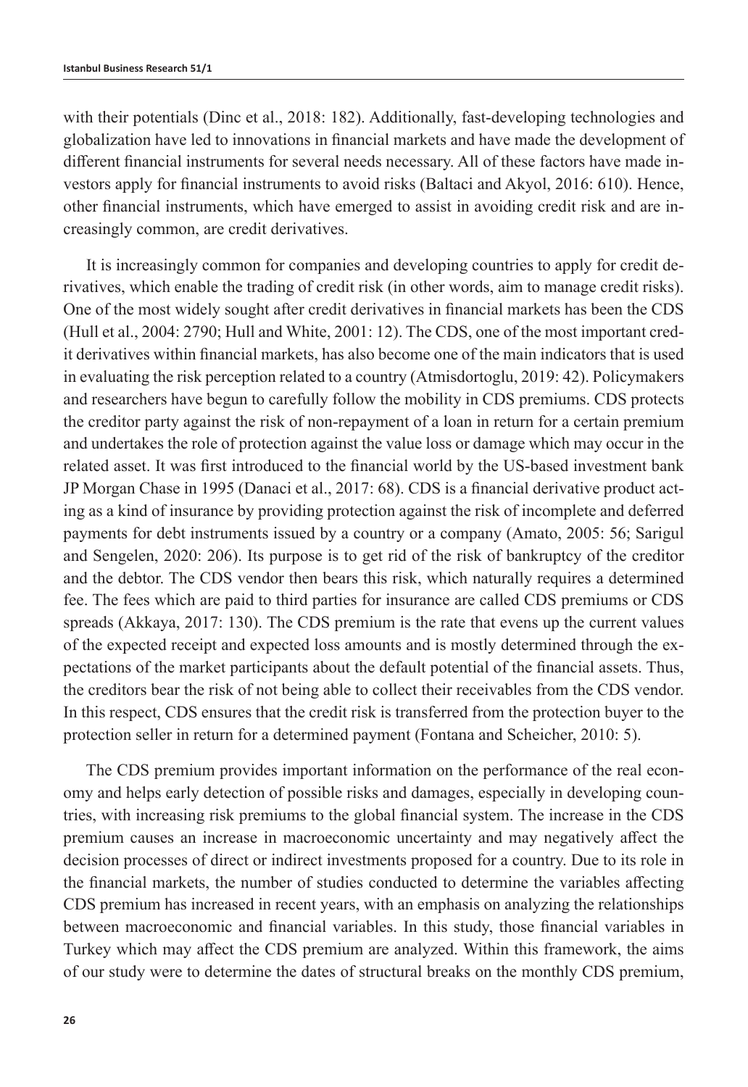with their potentials (Dinc et al., 2018: 182). Additionally, fast-developing technologies and globalization have led to innovations in financial markets and have made the development of different financial instruments for several needs necessary. All of these factors have made investors apply for financial instruments to avoid risks (Baltaci and Akyol, 2016: 610). Hence, other financial instruments, which have emerged to assist in avoiding credit risk and are increasingly common, are credit derivatives.

It is increasingly common for companies and developing countries to apply for credit derivatives, which enable the trading of credit risk (in other words, aim to manage credit risks). One of the most widely sought after credit derivatives in financial markets has been the CDS (Hull et al., 2004: 2790; Hull and White, 2001: 12). The CDS, one of the most important credit derivatives within financial markets, has also become one of the main indicators that is used in evaluating the risk perception related to a country (Atmisdortoglu, 2019: 42). Policymakers and researchers have begun to carefully follow the mobility in CDS premiums. CDS protects the creditor party against the risk of non-repayment of a loan in return for a certain premium and undertakes the role of protection against the value loss or damage which may occur in the related asset. It was first introduced to the financial world by the US-based investment bank JP Morgan Chase in 1995 (Danaci et al., 2017: 68). CDS is a financial derivative product acting as a kind of insurance by providing protection against the risk of incomplete and deferred payments for debt instruments issued by a country or a company (Amato, 2005: 56; Sarigul and Sengelen, 2020: 206). Its purpose is to get rid of the risk of bankruptcy of the creditor and the debtor. The CDS vendor then bears this risk, which naturally requires a determined fee. The fees which are paid to third parties for insurance are called CDS premiums or CDS spreads (Akkaya, 2017: 130). The CDS premium is the rate that evens up the current values of the expected receipt and expected loss amounts and is mostly determined through the expectations of the market participants about the default potential of the financial assets. Thus, the creditors bear the risk of not being able to collect their receivables from the CDS vendor. In this respect, CDS ensures that the credit risk is transferred from the protection buyer to the protection seller in return for a determined payment (Fontana and Scheicher, 2010: 5).

The CDS premium provides important information on the performance of the real economy and helps early detection of possible risks and damages, especially in developing countries, with increasing risk premiums to the global financial system. The increase in the CDS premium causes an increase in macroeconomic uncertainty and may negatively affect the decision processes of direct or indirect investments proposed for a country. Due to its role in the financial markets, the number of studies conducted to determine the variables affecting CDS premium has increased in recent years, with an emphasis on analyzing the relationships between macroeconomic and financial variables. In this study, those financial variables in Turkey which may affect the CDS premium are analyzed. Within this framework, the aims of our study were to determine the dates of structural breaks on the monthly CDS premium,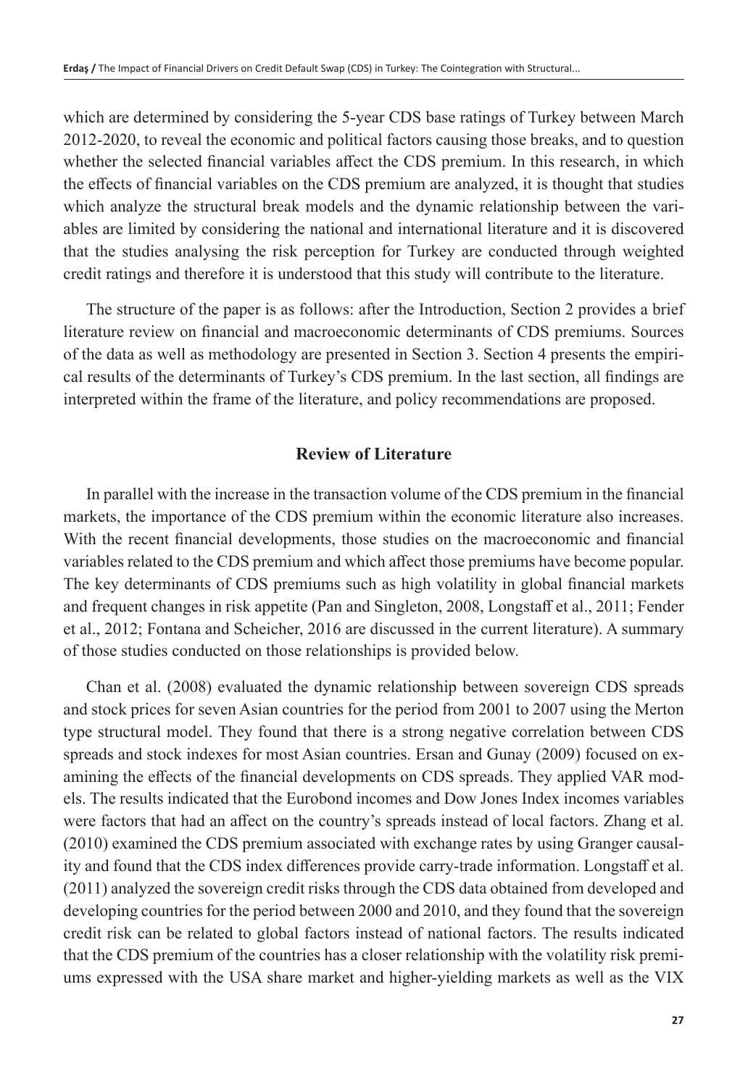which are determined by considering the 5-year CDS base ratings of Turkey between March 2012-2020, to reveal the economic and political factors causing those breaks, and to question whether the selected financial variables affect the CDS premium. In this research, in which the effects of financial variables on the CDS premium are analyzed, it is thought that studies which analyze the structural break models and the dynamic relationship between the variables are limited by considering the national and international literature and it is discovered that the studies analysing the risk perception for Turkey are conducted through weighted credit ratings and therefore it is understood that this study will contribute to the literature.

The structure of the paper is as follows: after the Introduction, Section 2 provides a brief literature review on financial and macroeconomic determinants of CDS premiums. Sources of the data as well as methodology are presented in Section 3. Section 4 presents the empirical results of the determinants of Turkey's CDS premium. In the last section, all findings are interpreted within the frame of the literature, and policy recommendations are proposed.

# **Review of Literature**

In parallel with the increase in the transaction volume of the CDS premium in the financial markets, the importance of the CDS premium within the economic literature also increases. With the recent financial developments, those studies on the macroeconomic and financial variables related to the CDS premium and which affect those premiums have become popular. The key determinants of CDS premiums such as high volatility in global financial markets and frequent changes in risk appetite (Pan and Singleton, 2008, Longstaff et al., 2011; Fender et al., 2012; Fontana and Scheicher, 2016 are discussed in the current literature). A summary of those studies conducted on those relationships is provided below.

Chan et al. (2008) evaluated the dynamic relationship between sovereign CDS spreads and stock prices for seven Asian countries for the period from 2001 to 2007 using the Merton type structural model. They found that there is a strong negative correlation between CDS spreads and stock indexes for most Asian countries. Ersan and Gunay (2009) focused on examining the effects of the financial developments on CDS spreads. They applied VAR models. The results indicated that the Eurobond incomes and Dow Jones Index incomes variables were factors that had an affect on the country's spreads instead of local factors. Zhang et al. (2010) examined the CDS premium associated with exchange rates by using Granger causality and found that the CDS index differences provide carry-trade information. Longstaff et al. (2011) analyzed the sovereign credit risks through the CDS data obtained from developed and developing countries for the period between 2000 and 2010, and they found that the sovereign credit risk can be related to global factors instead of national factors. The results indicated that the CDS premium of the countries has a closer relationship with the volatility risk premiums expressed with the USA share market and higher-yielding markets as well as the VIX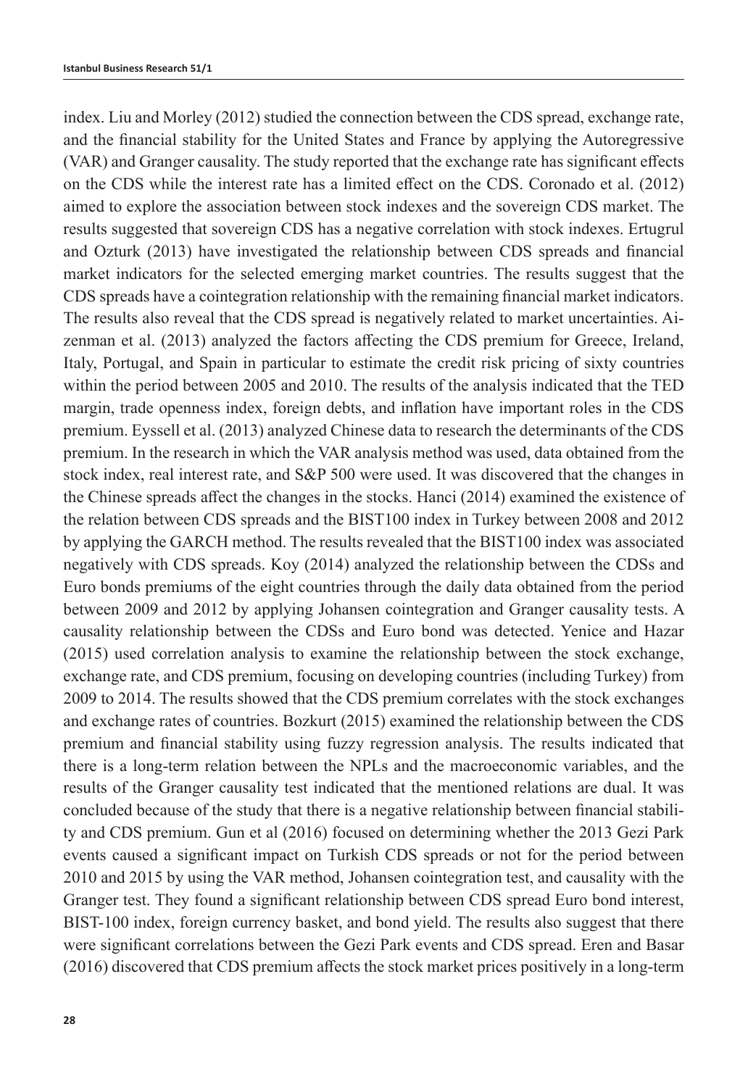index. Liu and Morley (2012) studied the connection between the CDS spread, exchange rate, and the financial stability for the United States and France by applying the Autoregressive (VAR) and Granger causality. The study reported that the exchange rate has significant effects on the CDS while the interest rate has a limited effect on the CDS. Coronado et al. (2012) aimed to explore the association between stock indexes and the sovereign CDS market. The results suggested that sovereign CDS has a negative correlation with stock indexes. Ertugrul and Ozturk (2013) have investigated the relationship between CDS spreads and financial market indicators for the selected emerging market countries. The results suggest that the CDS spreads have a cointegration relationship with the remaining financial market indicators. The results also reveal that the CDS spread is negatively related to market uncertainties. Aizenman et al. (2013) analyzed the factors affecting the CDS premium for Greece, Ireland, Italy, Portugal, and Spain in particular to estimate the credit risk pricing of sixty countries within the period between 2005 and 2010. The results of the analysis indicated that the TED margin, trade openness index, foreign debts, and inflation have important roles in the CDS premium. Eyssell et al. (2013) analyzed Chinese data to research the determinants of the CDS premium. In the research in which the VAR analysis method was used, data obtained from the stock index, real interest rate, and S&P 500 were used. It was discovered that the changes in the Chinese spreads affect the changes in the stocks. Hanci (2014) examined the existence of the relation between CDS spreads and the BIST100 index in Turkey between 2008 and 2012 by applying the GARCH method. The results revealed that the BIST100 index was associated negatively with CDS spreads. Koy (2014) analyzed the relationship between the CDSs and Euro bonds premiums of the eight countries through the daily data obtained from the period between 2009 and 2012 by applying Johansen cointegration and Granger causality tests. A causality relationship between the CDSs and Euro bond was detected. Yenice and Hazar (2015) used correlation analysis to examine the relationship between the stock exchange, exchange rate, and CDS premium, focusing on developing countries (including Turkey) from 2009 to 2014. The results showed that the CDS premium correlates with the stock exchanges and exchange rates of countries. Bozkurt (2015) examined the relationship between the CDS premium and financial stability using fuzzy regression analysis. The results indicated that there is a long-term relation between the NPLs and the macroeconomic variables, and the results of the Granger causality test indicated that the mentioned relations are dual. It was concluded because of the study that there is a negative relationship between financial stability and CDS premium. Gun et al (2016) focused on determining whether the 2013 Gezi Park events caused a significant impact on Turkish CDS spreads or not for the period between 2010 and 2015 by using the VAR method, Johansen cointegration test, and causality with the Granger test. They found a significant relationship between CDS spread Euro bond interest, BIST-100 index, foreign currency basket, and bond yield. The results also suggest that there were significant correlations between the Gezi Park events and CDS spread. Eren and Basar (2016) discovered that CDS premium affects the stock market prices positively in a long-term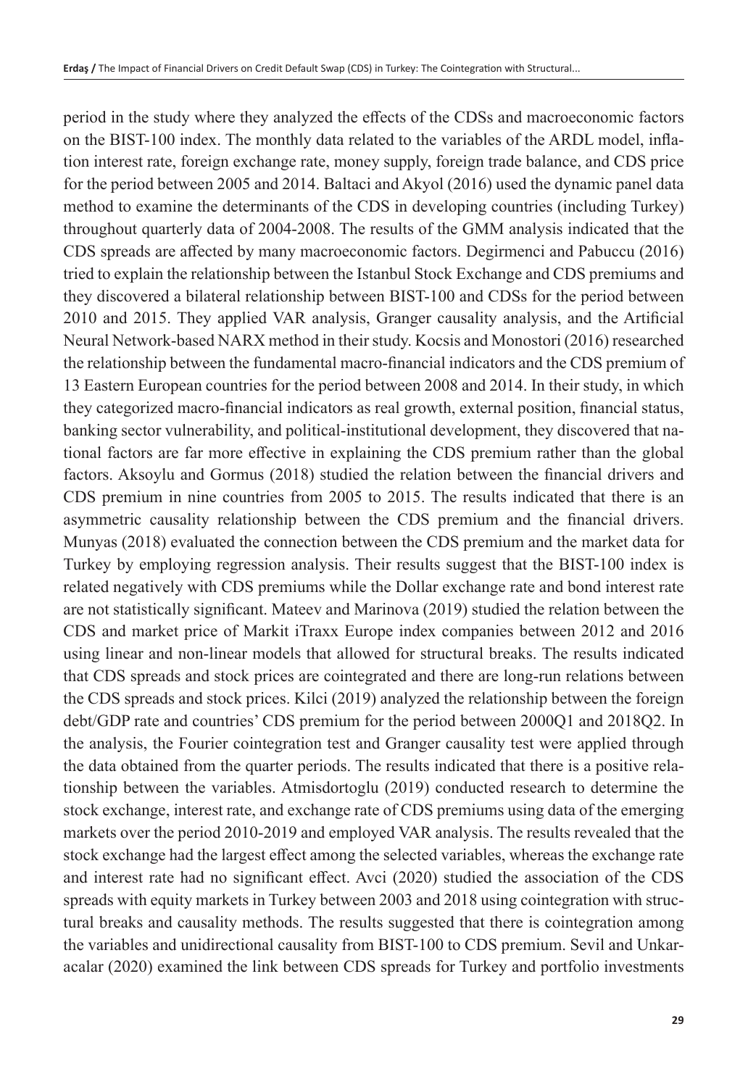period in the study where they analyzed the effects of the CDSs and macroeconomic factors on the BIST-100 index. The monthly data related to the variables of the ARDL model, inflation interest rate, foreign exchange rate, money supply, foreign trade balance, and CDS price for the period between 2005 and 2014. Baltaci and Akyol (2016) used the dynamic panel data method to examine the determinants of the CDS in developing countries (including Turkey) throughout quarterly data of 2004-2008. The results of the GMM analysis indicated that the CDS spreads are affected by many macroeconomic factors. Degirmenci and Pabuccu (2016) tried to explain the relationship between the Istanbul Stock Exchange and CDS premiums and they discovered a bilateral relationship between BIST-100 and CDSs for the period between 2010 and 2015. They applied VAR analysis, Granger causality analysis, and the Artificial Neural Network-based NARX method in their study. Kocsis and Monostori (2016) researched the relationship between the fundamental macro-financial indicators and the CDS premium of 13 Eastern European countries for the period between 2008 and 2014. In their study, in which they categorized macro-financial indicators as real growth, external position, financial status, banking sector vulnerability, and political-institutional development, they discovered that national factors are far more effective in explaining the CDS premium rather than the global factors. Aksoylu and Gormus (2018) studied the relation between the financial drivers and CDS premium in nine countries from 2005 to 2015. The results indicated that there is an asymmetric causality relationship between the CDS premium and the financial drivers. Munyas (2018) evaluated the connection between the CDS premium and the market data for Turkey by employing regression analysis. Their results suggest that the BIST-100 index is related negatively with CDS premiums while the Dollar exchange rate and bond interest rate are not statistically significant. Mateev and Marinova (2019) studied the relation between the CDS and market price of Markit iTraxx Europe index companies between 2012 and 2016 using linear and non-linear models that allowed for structural breaks. The results indicated that CDS spreads and stock prices are cointegrated and there are long-run relations between the CDS spreads and stock prices. Kilci (2019) analyzed the relationship between the foreign debt/GDP rate and countries' CDS premium for the period between 2000Q1 and 2018Q2. In the analysis, the Fourier cointegration test and Granger causality test were applied through the data obtained from the quarter periods. The results indicated that there is a positive relationship between the variables. Atmisdortoglu (2019) conducted research to determine the stock exchange, interest rate, and exchange rate of CDS premiums using data of the emerging markets over the period 2010-2019 and employed VAR analysis. The results revealed that the stock exchange had the largest effect among the selected variables, whereas the exchange rate and interest rate had no significant effect. Avci (2020) studied the association of the CDS spreads with equity markets in Turkey between 2003 and 2018 using cointegration with structural breaks and causality methods. The results suggested that there is cointegration among the variables and unidirectional causality from BIST-100 to CDS premium. Sevil and Unkaracalar (2020) examined the link between CDS spreads for Turkey and portfolio investments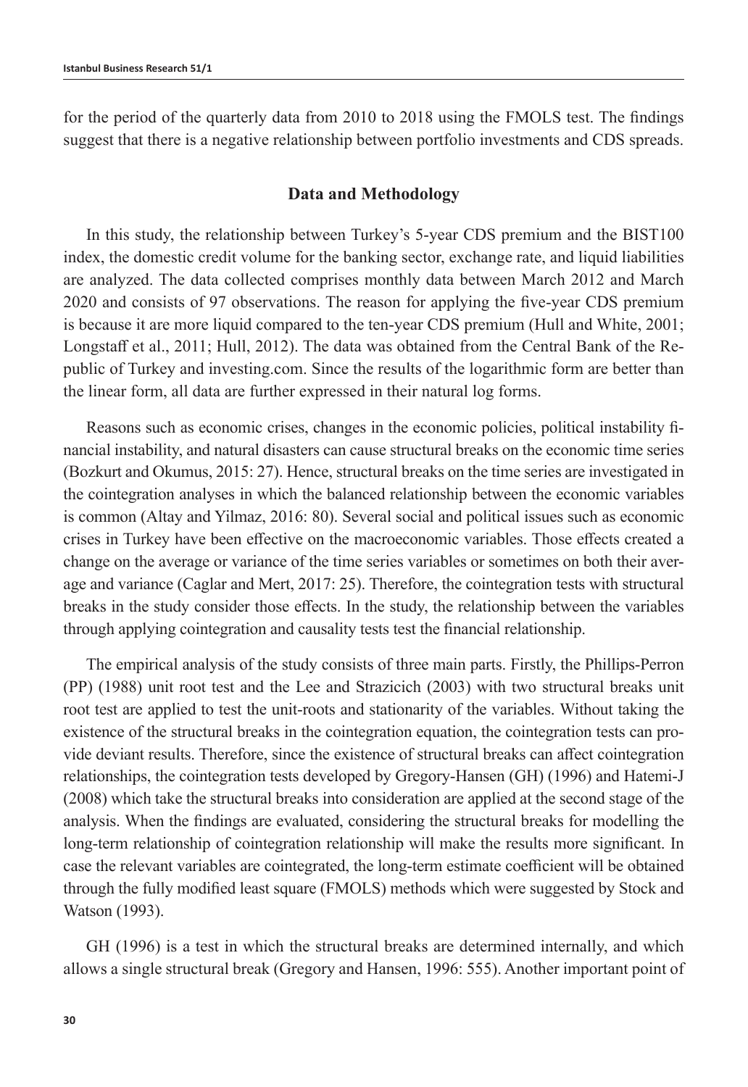for the period of the quarterly data from 2010 to 2018 using the FMOLS test. The findings suggest that there is a negative relationship between portfolio investments and CDS spreads.

#### **Data and Methodology**

In this study, the relationship between Turkey's 5-year CDS premium and the BIST100 index, the domestic credit volume for the banking sector, exchange rate, and liquid liabilities are analyzed. The data collected comprises monthly data between March 2012 and March 2020 and consists of 97 observations. The reason for applying the five-year CDS premium is because it are more liquid compared to the ten-year CDS premium (Hull and White, 2001; Longstaff et al., 2011; Hull, 2012). The data was obtained from the Central Bank of the Republic of Turkey and investing.com. Since the results of the logarithmic form are better than the linear form, all data are further expressed in their natural log forms.

Reasons such as economic crises, changes in the economic policies, political instability financial instability, and natural disasters can cause structural breaks on the economic time series (Bozkurt and Okumus, 2015: 27). Hence, structural breaks on the time series are investigated in the cointegration analyses in which the balanced relationship between the economic variables is common (Altay and Yilmaz, 2016: 80). Several social and political issues such as economic crises in Turkey have been effective on the macroeconomic variables. Those effects created a change on the average or variance of the time series variables or sometimes on both their average and variance (Caglar and Mert, 2017: 25). Therefore, the cointegration tests with structural breaks in the study consider those effects. In the study, the relationship between the variables through applying cointegration and causality tests test the financial relationship.

The empirical analysis of the study consists of three main parts. Firstly, the Phillips-Perron (PP) (1988) unit root test and the Lee and Strazicich (2003) with two structural breaks unit root test are applied to test the unit-roots and stationarity of the variables. Without taking the existence of the structural breaks in the cointegration equation, the cointegration tests can provide deviant results. Therefore, since the existence of structural breaks can affect cointegration relationships, the cointegration tests developed by Gregory-Hansen (GH) (1996) and Hatemi-J (2008) which take the structural breaks into consideration are applied at the second stage of the analysis. When the findings are evaluated, considering the structural breaks for modelling the long-term relationship of cointegration relationship will make the results more significant. In case the relevant variables are cointegrated, the long-term estimate coefficient will be obtained through the fully modified least square (FMOLS) methods which were suggested by Stock and Watson (1993).

GH (1996) is a test in which the structural breaks are determined internally, and which allows a single structural break (Gregory and Hansen, 1996: 555). Another important point of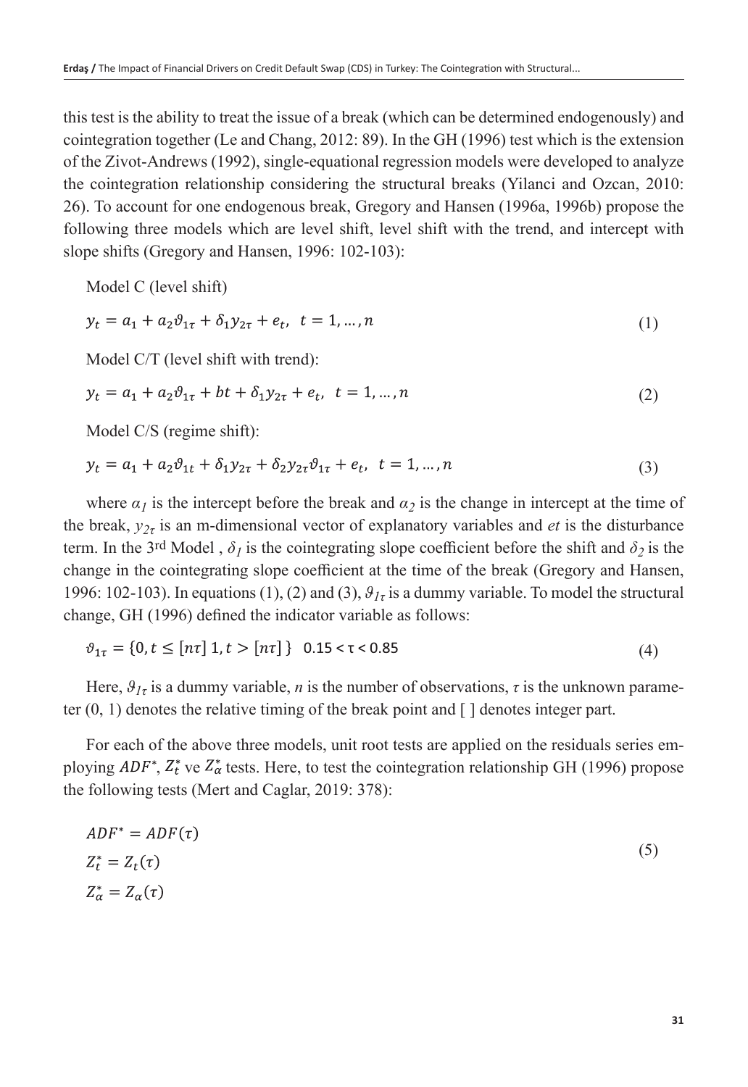this test is the ability to treat the issue of a break (which can be determined endogenously) and cointegration together (Le and Chang, 2012: 89). In the GH (1996) test which is the extension of the Zivot-Andrews (1992), single-equational regression models were developed to analyze the cointegration relationship considering the structural breaks (Yilanci and Ozcan, 2010: 26). To account for one endogenous break, Gregory and Hansen (1996a, 1996b) propose the following three models which are level shift, level shift with the trend, and intercept with slope shifts (Gregory and Hansen, 1996: 102-103):

Model C (level shift)

$$
y_t = a_1 + a_2 \vartheta_{1\tau} + \delta_1 y_{2\tau} + e_t, \quad t = 1, \dots, n
$$
 (1)

Model C/T (level shift with trend):

$$
y_t = a_1 + a_2 \vartheta_{1\tau} + bt + \delta_1 y_{2\tau} + e_t, \ t = 1, ..., n
$$
 (2)

Model C/S (regime shift):

$$
y_t = a_1 + a_2 \vartheta_{1t} + \delta_1 y_{2\tau} + \delta_2 y_{2\tau} \vartheta_{1\tau} + e_t, \quad t = 1, ..., n
$$
 (3)

where  $\alpha_l$  is the intercept before the break and  $\alpha_2$  is the change in intercept at the time of the break,  $y_{2\tau}$  is an m-dimensional vector of explanatory variables and *et* is the disturbance term. In the 3<sup>rd</sup> Model,  $\delta_l$  is the cointegrating slope coefficient before the shift and  $\delta_2$  is the change in the cointegrating slope coefficient at the time of the break (Gregory and Hansen, 1996: 102-103). In equations (1), (2) and (3),  $\theta_{1\tau}$  is a dummy variable. To model the structural change, GH (1996) defined the indicator variable as follows:

$$
\vartheta_{1\tau} = \{0, t \leq [n\tau] \ 1, t > [n\tau] \} \ 0.15 < \tau < 0.85 \tag{4}
$$

Here,  $\theta_{1\tau}$  is a dummy variable, *n* is the number of observations,  $\tau$  is the unknown parameter  $(0, 1)$  denotes the relative timing of the break point and  $\lceil \cdot \rceil$  denotes integer part.

For each of the above three models, unit root tests are applied on the residuals series employing  $ADF^*$ ,  $Z_t^*$  ve  $Z_{\alpha}^*$  tests. Here, to test the cointegration relationship GH (1996) propose the following tests (Mert and Caglar, 2019: 378):

$$
ADF^* = ADF(\tau)
$$
  
\n
$$
Z_t^* = Z_t(\tau)
$$
  
\n
$$
Z_\alpha^* = Z_\alpha(\tau)
$$
\n(5)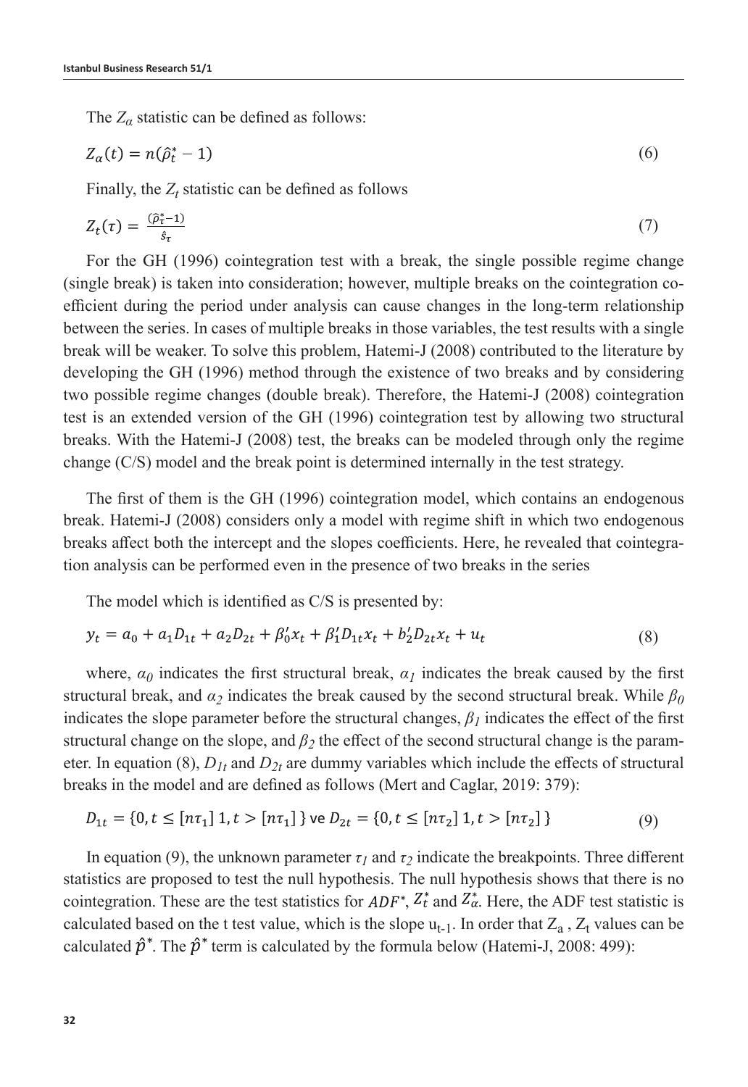The  $Z_\alpha$  statistic can be defined as follows:

$$
Z_{\alpha}(t) = n(\hat{\rho}_t^* - 1) \tag{6}
$$

Finally, the  $Z_t$  statistic can be defined as follows

$$
Z_t(\tau) = \frac{(\hat{\rho}_t^* - 1)}{\hat{s}_\tau} \tag{7}
$$

For the GH (1996) cointegration test with a break, the single possible regime change (single break) is taken into consideration; however, multiple breaks on the cointegration coefficient during the period under analysis can cause changes in the long-term relationship between the series. In cases of multiple breaks in those variables, the test results with a single break will be weaker. To solve this problem, Hatemi-J (2008) contributed to the literature by developing the GH (1996) method through the existence of two breaks and by considering two possible regime changes (double break). Therefore, the Hatemi-J (2008) cointegration test is an extended version of the GH (1996) cointegration test by allowing two structural breaks. With the Hatemi-J (2008) test, the breaks can be modeled through only the regime change (C/S) model and the break point is determined internally in the test strategy.

The first of them is the GH (1996) cointegration model, which contains an endogenous break. Hatemi-J (2008) considers only a model with regime shift in which two endogenous breaks affect both the intercept and the slopes coefficients. Here, he revealed that cointegration analysis can be performed even in the presence of two breaks in the series

The model which is identified as C/S is presented by:

$$
y_t = a_0 + a_1 D_{1t} + a_2 D_{2t} + \beta'_0 x_t + \beta'_1 D_{1t} x_t + b'_2 D_{2t} x_t + u_t
$$
\n(8)

where,  $\alpha_0$  indicates the first structural break,  $\alpha_1$  indicates the break caused by the first structural break, and  $\alpha_2$  indicates the break caused by the second structural break. While  $\beta_0$ indicates the slope parameter before the structural changes,  $\beta_l$  indicates the effect of the first structural change on the slope, and  $\beta_2$  the effect of the second structural change is the parameter. In equation (8),  $D_{1t}$  and  $D_{2t}$  are dummy variables which include the effects of structural breaks in the model and are defined as follows (Mert and Caglar, 2019: 379):

$$
D_{1t} = \{0, t \leq \lfloor n\tau_1 \rfloor \ 1, t > \lfloor n\tau_1 \rfloor \} \text{ve } D_{2t} = \{0, t \leq \lfloor n\tau_2 \rfloor \ 1, t > \lfloor n\tau_2 \rfloor \} \tag{9}
$$

In equation (9), the unknown parameter  $\tau_l$  and  $\tau_2$  indicate the breakpoints. Three different statistics are proposed to test the null hypothesis. The null hypothesis shows that there is no cointegration. These are the test statistics for  $ADF^*$ ,  $Z_t^*$  and  $Z_{\alpha}^*$ . Here, the ADF test statistic is calculated based on the t test value, which is the slope  $u_{t-1}$ . In order that  $Z_a$ ,  $Z_t$  values can be calculated  $\hat{p}^*$ . The  $\hat{p}^*$  term is calculated by the formula below (Hatemi-J, 2008: 499):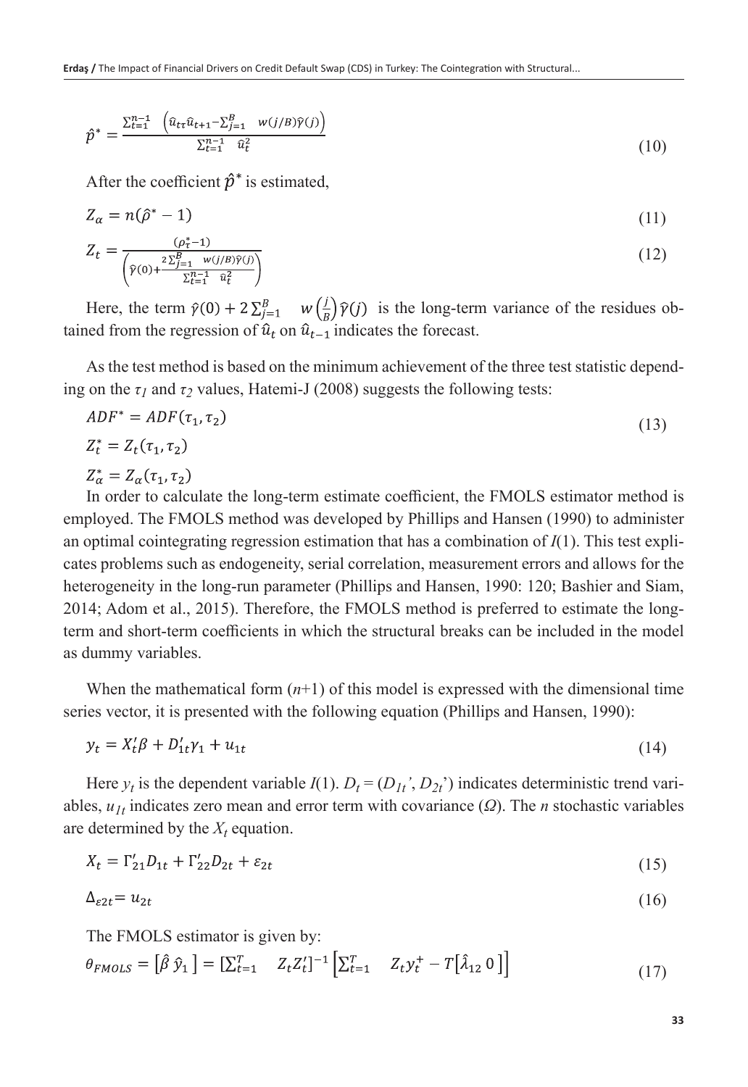$$
\hat{p}^* = \frac{\sum_{t=1}^{n-1} \left( \hat{u}_{t\tau} \hat{u}_{t+1} - \sum_{j=1}^B w(j/B)\hat{\gamma}(j) \right)}{\sum_{t=1}^{n-1} \hat{u}_t^2}
$$
(10)

After the coefficient  $\hat{p}^*$  is estimated,

$$
Z_{\alpha} = n(\hat{\rho}^* - 1) \tag{11}
$$

$$
Z_{t} = \frac{(\rho_{t}^{*}-1)}{\left(\hat{\gamma}(0) + \frac{2\sum_{j=1}^{B} w(j/B)\hat{\gamma}(j)}{\sum_{t=1}^{n-1} \hat{u}_{t}^{2}}\right)}
$$
(12)

Here, the term  $\hat{y}(0) + 2\sum_{j=1}^{B} w(\frac{j}{B})\hat{y}(j)$  is the long-term variance of the residues obtained from the regression of  $\hat{u}_t$  on  $\hat{u}_{t-1}$  indicates the forecast.

As the test method is based on the minimum achievement of the three test statistic depending on the  $\tau_1$  and  $\tau_2$  values, Hatemi-J (2008) suggests the following tests:

$$
ADF^* = ADF(\tau_1, \tau_2)
$$
  
\n
$$
Z_t^* = Z_t(\tau_1, \tau_2)
$$
\n(13)

 $Z_{\alpha}^* = Z_{\alpha}(\tau_1, \tau_2)$ 

In order to calculate the long-term estimate coefficient, the FMOLS estimator method is employed. The FMOLS method was developed by Phillips and Hansen (1990) to administer an optimal cointegrating regression estimation that has a combination of *I*(1). This test explicates problems such as endogeneity, serial correlation, measurement errors and allows for the heterogeneity in the long-run parameter (Phillips and Hansen, 1990: 120; Bashier and Siam, 2014; Adom et al., 2015). Therefore, the FMOLS method is preferred to estimate the longterm and short-term coefficients in which the structural breaks can be included in the model as dummy variables.

When the mathematical form  $(n+1)$  of this model is expressed with the dimensional time series vector, it is presented with the following equation (Phillips and Hansen, 1990):

$$
y_t = X_t' \beta + D_{1t}' \gamma_1 + u_{1t} \tag{14}
$$

Here  $y_t$  is the dependent variable  $I(1)$ .  $D_t = (D_{1t}, D_{2t})$  indicates deterministic trend variables, *u1t* indicates zero mean and error term with covariance (*Ω*). The *n* stochastic variables are determined by the  $X_t$  equation.

$$
X_t = \Gamma'_{21} D_{1t} + \Gamma'_{22} D_{2t} + \varepsilon_{2t} \tag{15}
$$

$$
\Delta_{\varepsilon 2t} = u_{2t} \tag{16}
$$

The FMOLS estimator is given by:

$$
\theta_{FMOLS} = [\hat{\beta} \hat{y}_1] = [\sum_{t=1}^{T} Z_t Z_t']^{-1} [\sum_{t=1}^{T} Z_t y_t^+ - T[\hat{\lambda}_{12} \ 0 \ ]]
$$
(17)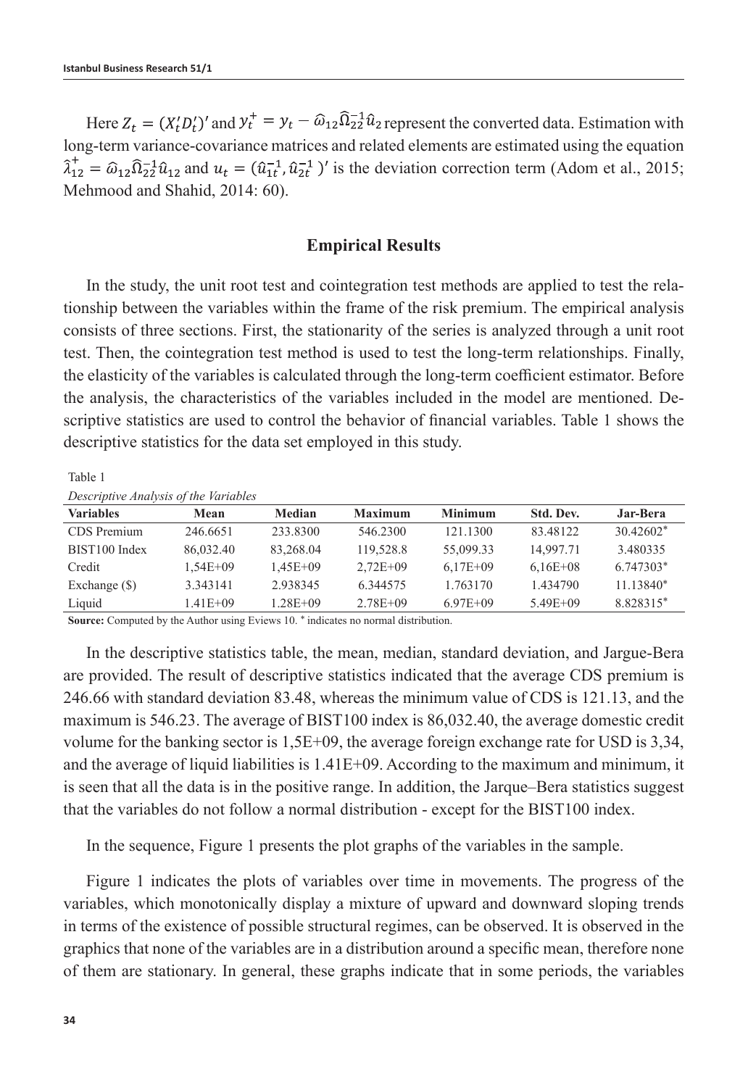Here  $Z_t = (X_t D_t')'$  and  $y_t^+ = y_t - \hat{\omega}_{12} \hat{\Omega}_{22}^{-1} \hat{u}_{2}$  represent the converted data. Estimation with long-term variance-covariance matrices and related elements are estimated using the equation  $\hat{\lambda}_{12}^+ = \hat{\omega}_{12} \hat{\Omega}_{22}^{-1} \hat{u}_{12}$  and  $u_t = (\hat{u}_{1t}^{-1}, \hat{u}_{2t}^{-1})'$  is the deviation correction term (Adom et al., 2015; Mehmood and Shahid, 2014: 60).

#### **Empirical Results**

In the study, the unit root test and cointegration test methods are applied to test the relationship between the variables within the frame of the risk premium. The empirical analysis consists of three sections. First, the stationarity of the series is analyzed through a unit root test. Then, the cointegration test method is used to test the long-term relationships. Finally, the elasticity of the variables is calculated through the long-term coefficient estimator. Before the analysis, the characteristics of the variables included in the model are mentioned. Descriptive statistics are used to control the behavior of financial variables. Table 1 shows the descriptive statistics for the data set employed in this study.

Table 1

*Descriptive Analysis of the Variables*

| <i>Descriptive marries</i> of the rariables |              |               |                |                |              |             |
|---------------------------------------------|--------------|---------------|----------------|----------------|--------------|-------------|
| <b>Variables</b>                            | Mean         | <b>Median</b> | <b>Maximum</b> | <b>Minimum</b> | Std. Dev.    | Jar-Bera    |
| CDS Premium                                 | 246.6651     | 233,8300      | 546.2300       | 121.1300       | 83.48122     | $30.42602*$ |
| BIST100 Index                               | 86,032.40    | 83,268.04     | 119,528.8      | 55,099.33      | 14,997.71    | 3.480335    |
| Credit                                      | $1.54E + 09$ | $1.45E + 09$  | $2.72E + 09$   | $6.17E + 09$   | $6.16E + 08$ | 6.747303*   |
| Exchange $(\$)$                             | 3.343141     | 2.938345      | 6.344575       | 1.763170       | 1.434790     | $11.13840*$ |
| Liquid                                      | $1.41E + 09$ | $1.28E + 09$  | $2.78E + 09$   | $6.97E + 09$   | $5.49E + 09$ | 8.828315*   |
|                                             |              |               |                |                |              |             |

**Source:** Computed by the Author using Eviews 10. \* indicates no normal distribution.

In the descriptive statistics table, the mean, median, standard deviation, and Jargue-Bera are provided. The result of descriptive statistics indicated that the average CDS premium is 246.66 with standard deviation 83.48, whereas the minimum value of CDS is 121.13, and the maximum is 546.23. The average of BIST100 index is 86,032.40, the average domestic credit volume for the banking sector is 1,5E+09, the average foreign exchange rate for USD is 3,34, and the average of liquid liabilities is 1.41E+09. According to the maximum and minimum, it is seen that all the data is in the positive range. In addition, the Jarque–Bera statistics suggest that the variables do not follow a normal distribution - except for the BIST100 index.

In the sequence, Figure 1 presents the plot graphs of the variables in the sample.

Figure 1 indicates the plots of variables over time in movements. The progress of the variables, which monotonically display a mixture of upward and downward sloping trends in terms of the existence of possible structural regimes, can be observed. It is observed in the graphics that none of the variables are in a distribution around a specific mean, therefore none of them are stationary. In general, these graphs indicate that in some periods, the variables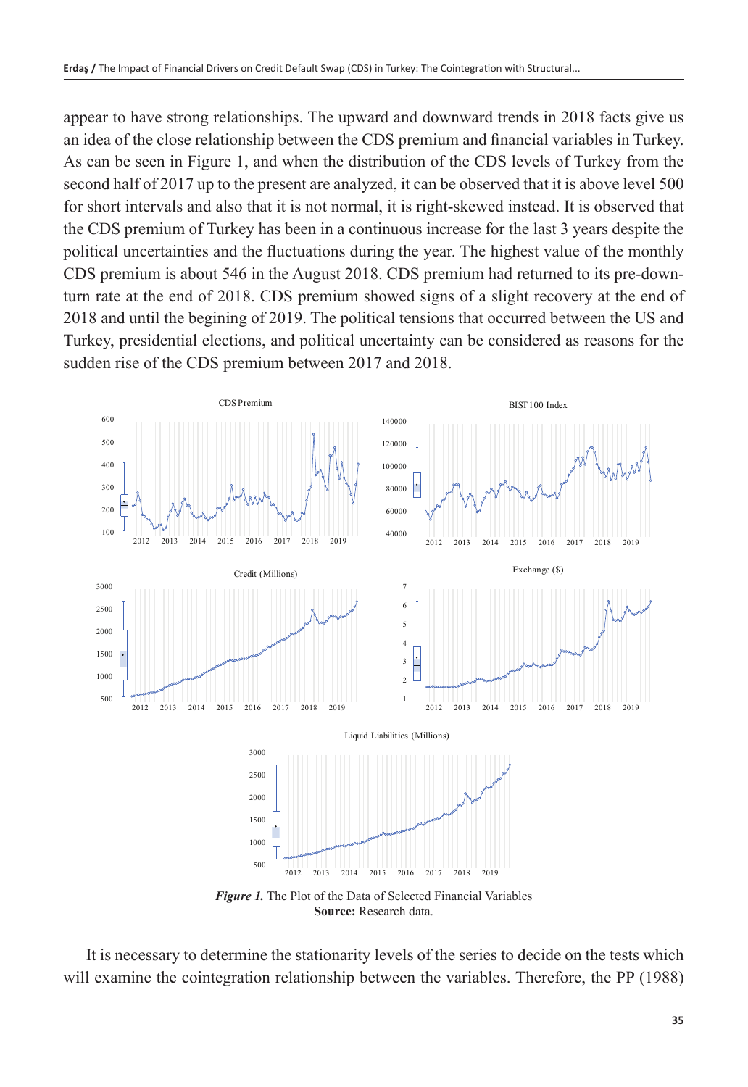appear to have strong relationships. The upward and downward trends in 2018 facts give us an idea of the close relationship between the CDS premium and financial variables in Turkey. As can be seen in Figure 1, and when the distribution of the CDS levels of Turkey from the second half of 2017 up to the present are analyzed, it can be observed that it is above level 500 for short intervals and also that it is not normal, it is right-skewed instead. It is observed that the CDS premium of Turkey has been in a continuous increase for the last 3 years despite the political uncertainties and the fluctuations during the year. The highest value of the monthly CDS premium is about 546 in the August 2018. CDS premium had returned to its pre-downturn rate at the end of 2018. CDS premium showed signs of a slight recovery at the end of 2018 and until the begining of 2019. The political tensions that occurred between the US and Turkey, presidential elections, and political uncertainty can be considered as reasons for the sudden rise of the CDS premium between 2017 and 2018.



*Figure 1.* The Plot of the Data of Selected Financial Variables **Source:** Research data.

It is necessary to determine the stationarity levels of the series to decide on the tests which will examine the cointegration relationship between the variables. Therefore, the PP (1988)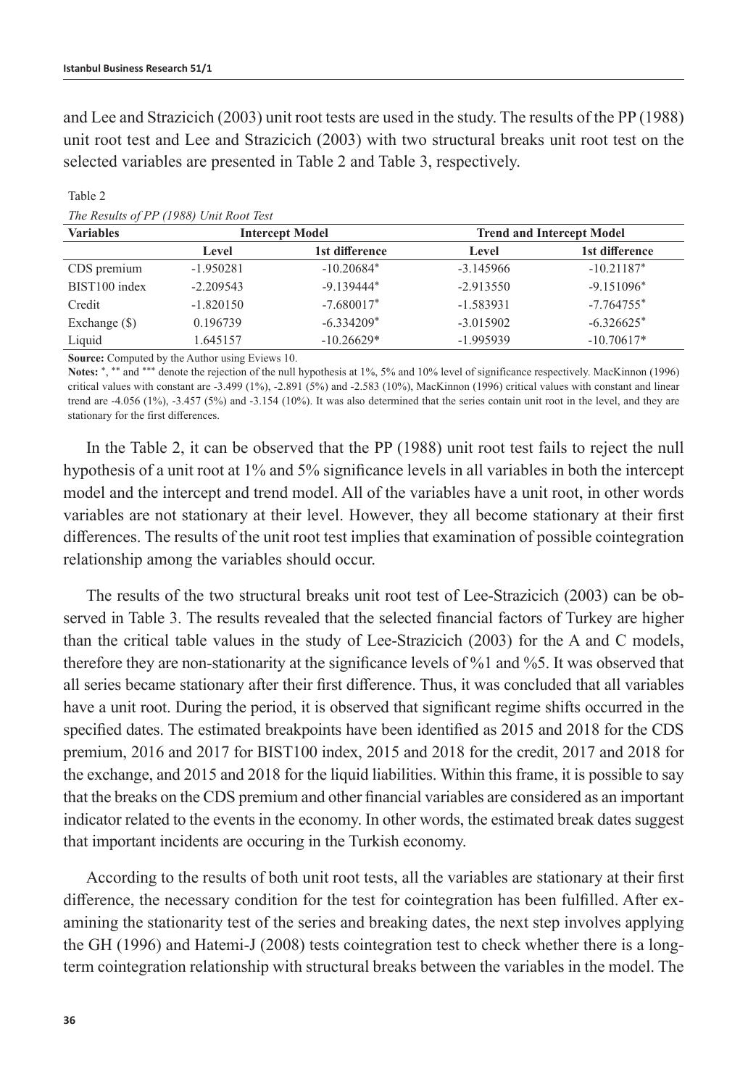and Lee and Strazicich (2003) unit root tests are used in the study. The results of the PP (1988) unit root test and Lee and Strazicich (2003) with two structural breaks unit root test on the selected variables are presented in Table 2 and Table 3, respectively.

| <b>Variables</b> |             | <b>Intercept Model</b> | <b>Trend and Intercept Model</b> |                |  |
|------------------|-------------|------------------------|----------------------------------|----------------|--|
|                  | Level       | 1st difference         | Level                            | 1st difference |  |
| CDS premium      | $-1.950281$ | $-10.20684*$           | $-3.145966$                      | $-10.21187*$   |  |
| BIST100 index    | $-2.209543$ | $-9.139444*$           | $-2.913550$                      | $-9.151096*$   |  |
| Credit           | $-1.820150$ | $-7.680017*$           | $-1.583931$                      | $-7.764755*$   |  |
| Exchange $(\$)$  | 0.196739    | $-6.334209*$           | $-3.015902$                      | $-6.326625*$   |  |
| Liquid           | 1.645157    | $-10.26629*$           | $-1.995939$                      | $-10.70617*$   |  |

Table 2 *The Results of PP (1988) Unit Root Test*

**Source:** Computed by the Author using Eviews 10.

Notes: \*, \*\* and \*\*\* denote the rejection of the null hypothesis at 1%, 5% and 10% level of significance respectively. MacKinnon (1996) critical values with constant are -3.499 (1%), -2.891 (5%) and -2.583 (10%), MacKinnon (1996) critical values with constant and linear trend are -4.056 (1%), -3.457 (5%) and -3.154 (10%). It was also determined that the series contain unit root in the level, and they are stationary for the first differences.

In the Table 2, it can be observed that the PP (1988) unit root test fails to reject the null hypothesis of a unit root at 1% and 5% significance levels in all variables in both the intercept model and the intercept and trend model. All of the variables have a unit root, in other words variables are not stationary at their level. However, they all become stationary at their first differences. The results of the unit root test implies that examination of possible cointegration relationship among the variables should occur.

The results of the two structural breaks unit root test of Lee-Strazicich (2003) can be observed in Table 3. The results revealed that the selected financial factors of Turkey are higher than the critical table values in the study of Lee-Strazicich (2003) for the A and C models, therefore they are non-stationarity at the significance levels of %1 and %5. It was observed that all series became stationary after their first difference. Thus, it was concluded that all variables have a unit root. During the period, it is observed that significant regime shifts occurred in the specified dates. The estimated breakpoints have been identified as 2015 and 2018 for the CDS premium, 2016 and 2017 for BIST100 index, 2015 and 2018 for the credit, 2017 and 2018 for the exchange, and 2015 and 2018 for the liquid liabilities. Within this frame, it is possible to say that the breaks on the CDS premium and other financial variables are considered as an important indicator related to the events in the economy. In other words, the estimated break dates suggest that important incidents are occuring in the Turkish economy.

According to the results of both unit root tests, all the variables are stationary at their first difference, the necessary condition for the test for cointegration has been fulfilled. After examining the stationarity test of the series and breaking dates, the next step involves applying the GH (1996) and Hatemi-J (2008) tests cointegration test to check whether there is a longterm cointegration relationship with structural breaks between the variables in the model. The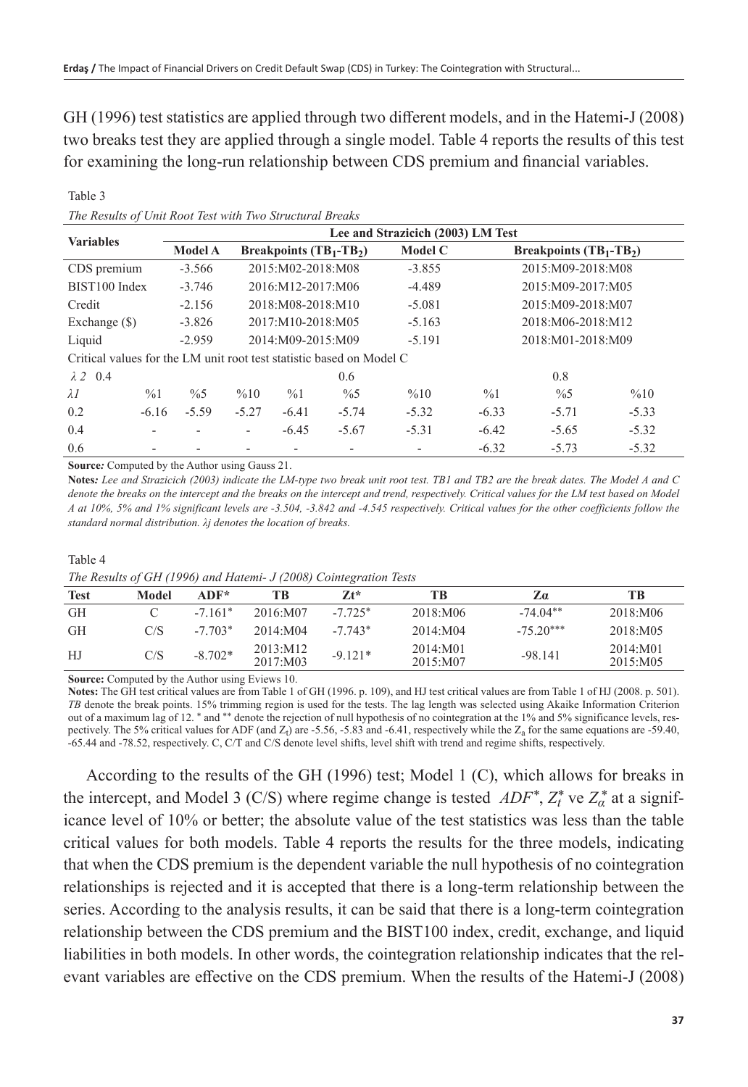GH (1996) test statistics are applied through two different models, and in the Hatemi-J (2008) two breaks test they are applied through a single model. Table 4 reports the results of this test for examining the long-run relationship between CDS premium and financial variables.

| <b>Variables</b>                                                     |                 | Lee and Strazicich (2003) LM Test |                           |                   |                |          |                                      |                   |         |  |
|----------------------------------------------------------------------|-----------------|-----------------------------------|---------------------------|-------------------|----------------|----------|--------------------------------------|-------------------|---------|--|
|                                                                      |                 | <b>Model A</b>                    | Breakpoints $(TB_1-TB_2)$ |                   | <b>Model C</b> |          | <b>Breakpoints (TB</b> $1$ -TB $2$ ) |                   |         |  |
| CDS premium                                                          |                 | $-3.566$                          |                           | 2015:M02-2018:M08 |                | $-3.855$ |                                      | 2015:M09-2018:M08 |         |  |
| BIST100 Index                                                        |                 | $-3.746$                          |                           | 2016:M12-2017:M06 |                | $-4.489$ |                                      | 2015:M09-2017:M05 |         |  |
| Credit                                                               |                 | $-2.156$                          |                           | 2018:M08-2018:M10 |                | $-5.081$ |                                      | 2015:M09-2018:M07 |         |  |
| Exchange $(\$)$                                                      |                 | $-3.826$                          |                           | 2017:M10-2018:M05 |                | $-5.163$ |                                      | 2018:M06-2018:M12 |         |  |
| Liquid                                                               |                 | $-2.959$                          |                           | 2014:M09-2015:M09 |                | $-5.191$ |                                      | 2018:M01-2018:M09 |         |  |
| Critical values for the LM unit root test statistic based on Model C |                 |                                   |                           |                   |                |          |                                      |                   |         |  |
| $\lambda$ 2 0.4                                                      |                 |                                   |                           |                   | 0.6            |          |                                      | 0.8               |         |  |
| $\lambda I$                                                          | $\frac{9}{6}$ 1 | $\frac{0}{6}$                     | %10                       | $\frac{0}{0}$ 1   | $\frac{0}{6}$  | %10      | $\frac{0}{0}$                        | $\frac{0}{6}$     | %10     |  |
| 0.2                                                                  | $-6.16$         | $-5.59$                           | $-5.27$                   | $-6.41$           | $-5.74$        | $-5.32$  | $-6.33$                              | $-5.71$           | $-5.33$ |  |
| 0.4                                                                  | ٠               |                                   | -                         | $-6.45$           | $-5.67$        | $-5.31$  | $-6.42$                              | $-5.65$           | $-5.32$ |  |
| 0.6                                                                  |                 |                                   |                           |                   | ۰              |          | $-6.32$                              | $-5.73$           | $-5.32$ |  |

*The Results of Unit Root Test with Two Structural Breaks*

**Source***:* Computed by the Author using Gauss 21.

**Notes***: Lee and Strazicich (2003) indicate the LM-type two break unit root test. TB1 and TB2 are the break dates. The Model A and C denote the breaks on the intercept and the breaks on the intercept and trend, respectively. Critical values for the LM test based on Model A at 10%, 5% and 1% significant levels are -3.504, -3.842 and -4.545 respectively. Critical values for the other coefficients follow the standard normal distribution. λj denotes the location of breaks.*

#### Table 4

Table 3

*The Results of GH (1996) and Hatemi- J (2008) Cointegration Tests*

|             |       |           | The Holding of $\sigma$ of $(1)$ of the Holding $\sigma$ ( $\equiv$ 0.00) connection feature |           |                      |             |                      |
|-------------|-------|-----------|----------------------------------------------------------------------------------------------|-----------|----------------------|-------------|----------------------|
| <b>Test</b> | Model | ADF*      | ТB                                                                                           | 71*       | ТB                   | Zα          | ТB                   |
| GH          |       | $-7.161*$ | 2016:M07                                                                                     | $-7.725*$ | 2018:M06             | $-74.04**$  | 2018:M06             |
| <b>GH</b>   | C/S   | $-7.703*$ | 2014:MA                                                                                      | $-7.743*$ | 2014:M04             | $-75.20***$ | 2018:M05             |
| HJ          | C/S   | $-8.702*$ | 2013:M12<br>2017:M03                                                                         | $-9.121*$ | 2014:M01<br>2015:M07 | $-98.141$   | 2014:M01<br>2015:M05 |

**Source:** Computed by the Author using Eviews 10.

**Notes:** The GH test critical values are from Table 1 of GH (1996. p. 109), and HJ test critical values are from Table 1 of HJ (2008. p. 501). *TB* denote the break points. 15% trimming region is used for the tests. The lag length was selected using Akaike Information Criterion out of a maximum lag of 12. \* and \*\* denote the rejection of null hypothesis of no cointegration at the 1% and 5% significance levels, respectively. The 5% critical values for ADF (and  $Z_1$ ) are -5.56, -5.83 and -6.41, respectively while the  $Z_a$  for the same equations are -59.40, -65.44 and -78.52, respectively. C, C/T and C/S denote level shifts, level shift with trend and regime shifts, respectively.

According to the results of the GH (1996) test; Model 1 (C), which allows for breaks in the intercept, and Model 3 (C/S) where regime change is tested  $ADF^*$ ,  $Z_t^*$  ve  $Z_a^*$  at a significance level of 10% or better; the absolute value of the test statistics was less than the table critical values for both models. Table 4 reports the results for the three models, indicating that when the CDS premium is the dependent variable the null hypothesis of no cointegration relationships is rejected and it is accepted that there is a long-term relationship between the series. According to the analysis results, it can be said that there is a long-term cointegration relationship between the CDS premium and the BIST100 index, credit, exchange, and liquid liabilities in both models. In other words, the cointegration relationship indicates that the relevant variables are effective on the CDS premium. When the results of the Hatemi-J (2008)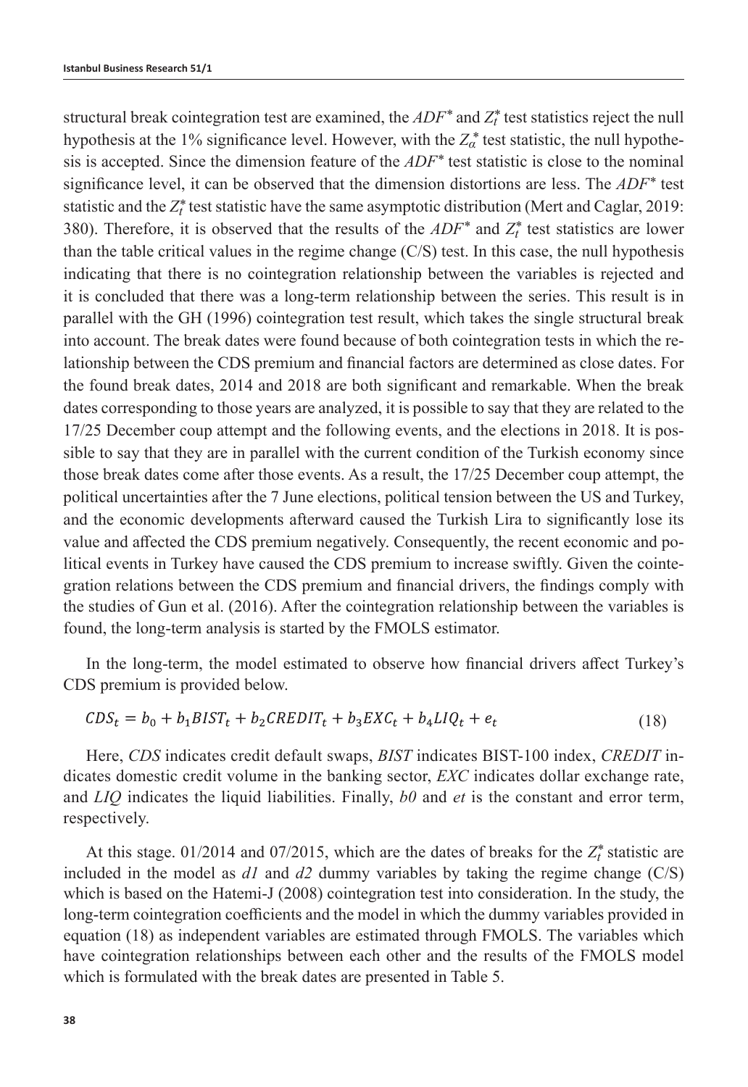structural break cointegration test are examined, the  $ADF^*$  and  $Z_t^*$  test statistics reject the null hypothesis at the 1% significance level. However, with the  $Z^*_{\alpha}$  test statistic, the null hypothesis is accepted. Since the dimension feature of the *ADF\** test statistic is close to the nominal significance level, it can be observed that the dimension distortions are less. The *ADF\** test statistic and the  $Z_t^*$  test statistic have the same asymptotic distribution (Mert and Caglar, 2019: 380). Therefore, it is observed that the results of the  $ADF^*$  and  $Z_t^*$  test statistics are lower than the table critical values in the regime change (C/S) test. In this case, the null hypothesis indicating that there is no cointegration relationship between the variables is rejected and it is concluded that there was a long-term relationship between the series. This result is in parallel with the GH (1996) cointegration test result, which takes the single structural break into account. The break dates were found because of both cointegration tests in which the relationship between the CDS premium and financial factors are determined as close dates. For the found break dates, 2014 and 2018 are both significant and remarkable. When the break dates corresponding to those years are analyzed, it is possible to say that they are related to the 17/25 December coup attempt and the following events, and the elections in 2018. It is possible to say that they are in parallel with the current condition of the Turkish economy since those break dates come after those events. As a result, the 17/25 December coup attempt, the political uncertainties after the 7 June elections, political tension between the US and Turkey, and the economic developments afterward caused the Turkish Lira to significantly lose its value and affected the CDS premium negatively. Consequently, the recent economic and political events in Turkey have caused the CDS premium to increase swiftly. Given the cointegration relations between the CDS premium and financial drivers, the findings comply with the studies of Gun et al. (2016). After the cointegration relationship between the variables is found, the long-term analysis is started by the FMOLS estimator.

In the long-term, the model estimated to observe how financial drivers affect Turkey's CDS premium is provided below.

$$
CDSt = b0 + b1BISTt + b2CREDITt + b3EXCt + b4LIQt + et
$$
\n(18)

Here, *CDS* indicates credit default swaps, *BIST* indicates BIST-100 index, *CREDIT* indicates domestic credit volume in the banking sector, *EXC* indicates dollar exchange rate, and *LIQ* indicates the liquid liabilities. Finally, *b0* and *et* is the constant and error term, respectively.

At this stage.  $01/2014$  and  $07/2015$ , which are the dates of breaks for the  $Z_t^*$  statistic are included in the model as  $dI$  and  $d2$  dummy variables by taking the regime change  $(C/S)$ which is based on the Hatemi-J (2008) cointegration test into consideration. In the study, the long-term cointegration coefficients and the model in which the dummy variables provided in equation (18) as independent variables are estimated through FMOLS. The variables which have cointegration relationships between each other and the results of the FMOLS model which is formulated with the break dates are presented in Table 5.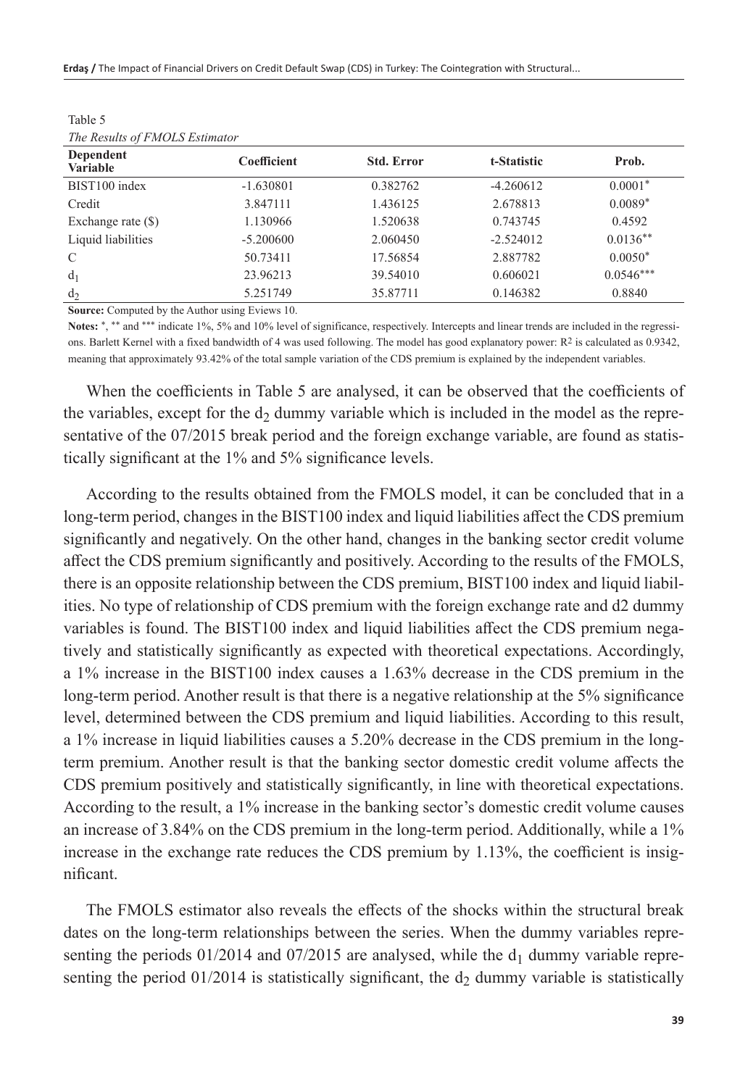| The Results of FMOLS Estimator |             |                   |             |             |
|--------------------------------|-------------|-------------------|-------------|-------------|
| Dependent<br><b>Variable</b>   | Coefficient | <b>Std. Error</b> | t-Statistic | Prob.       |
| BIST100 index                  | $-1.630801$ | 0.382762          | $-4.260612$ | $0.0001*$   |
| Credit                         | 3.847111    | 1.436125          | 2.678813    | $0.0089*$   |
| Exchange rate $(\$)$           | 1.130966    | 1.520638          | 0.743745    | 0.4592      |
| Liquid liabilities             | $-5.200600$ | 2.060450          | $-2.524012$ | $0.0136**$  |
| $\mathcal{C}$                  | 50.73411    | 17.56854          | 2.887782    | $0.0050*$   |
| d <sub>1</sub>                 | 23.96213    | 39.54010          | 0.606021    | $0.0546***$ |
| d <sub>2</sub>                 | 5.251749    | 35.87711          | 0.146382    | 0.8840      |

Table  $5 \n<sub>T1</sub>$ *The Results of FMOLS Estimator*

**Source:** Computed by the Author using Eviews 10.

Notes: \*.\*\* and \*\*\* indicate 1%, 5% and 10% level of significance, respectively. Intercepts and linear trends are included in the regressions. Barlett Kernel with a fixed bandwidth of 4 was used following. The model has good explanatory power: R2 is calculated as 0.9342, meaning that approximately 93.42% of the total sample variation of the CDS premium is explained by the independent variables.

When the coefficients in Table 5 are analysed, it can be observed that the coefficients of the variables, except for the  $d_2$  dummy variable which is included in the model as the representative of the 07/2015 break period and the foreign exchange variable, are found as statistically significant at the 1% and 5% significance levels.

According to the results obtained from the FMOLS model, it can be concluded that in a long-term period, changes in the BIST100 index and liquid liabilities affect the CDS premium significantly and negatively. On the other hand, changes in the banking sector credit volume affect the CDS premium significantly and positively. According to the results of the FMOLS, there is an opposite relationship between the CDS premium, BIST100 index and liquid liabilities. No type of relationship of CDS premium with the foreign exchange rate and d2 dummy variables is found. The BIST100 index and liquid liabilities affect the CDS premium negatively and statistically significantly as expected with theoretical expectations. Accordingly, a 1% increase in the BIST100 index causes a 1.63% decrease in the CDS premium in the long-term period. Another result is that there is a negative relationship at the 5% significance level, determined between the CDS premium and liquid liabilities. According to this result, a 1% increase in liquid liabilities causes a 5.20% decrease in the CDS premium in the longterm premium. Another result is that the banking sector domestic credit volume affects the CDS premium positively and statistically significantly, in line with theoretical expectations. According to the result, a 1% increase in the banking sector's domestic credit volume causes an increase of 3.84% on the CDS premium in the long-term period. Additionally, while a 1% increase in the exchange rate reduces the CDS premium by 1.13%, the coefficient is insignificant.

The FMOLS estimator also reveals the effects of the shocks within the structural break dates on the long-term relationships between the series. When the dummy variables representing the periods 01/2014 and 07/2015 are analysed, while the  $d_1$  dummy variable representing the period  $01/2014$  is statistically significant, the  $d_2$  dummy variable is statistically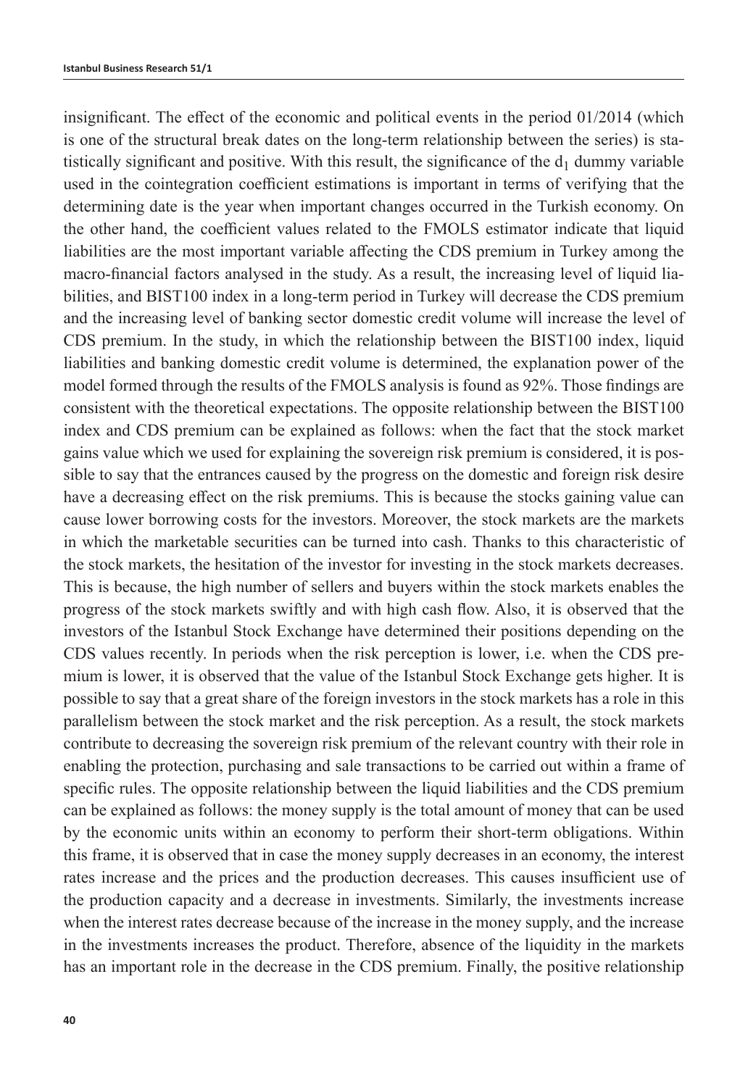insignificant. The effect of the economic and political events in the period 01/2014 (which is one of the structural break dates on the long-term relationship between the series) is statistically significant and positive. With this result, the significance of the  $d_1$  dummy variable used in the cointegration coefficient estimations is important in terms of verifying that the determining date is the year when important changes occurred in the Turkish economy. On the other hand, the coefficient values related to the FMOLS estimator indicate that liquid liabilities are the most important variable affecting the CDS premium in Turkey among the macro-financial factors analysed in the study. As a result, the increasing level of liquid liabilities, and BIST100 index in a long-term period in Turkey will decrease the CDS premium and the increasing level of banking sector domestic credit volume will increase the level of CDS premium. In the study, in which the relationship between the BIST100 index, liquid liabilities and banking domestic credit volume is determined, the explanation power of the model formed through the results of the FMOLS analysis is found as 92%. Those findings are consistent with the theoretical expectations. The opposite relationship between the BIST100 index and CDS premium can be explained as follows: when the fact that the stock market gains value which we used for explaining the sovereign risk premium is considered, it is possible to say that the entrances caused by the progress on the domestic and foreign risk desire have a decreasing effect on the risk premiums. This is because the stocks gaining value can cause lower borrowing costs for the investors. Moreover, the stock markets are the markets in which the marketable securities can be turned into cash. Thanks to this characteristic of the stock markets, the hesitation of the investor for investing in the stock markets decreases. This is because, the high number of sellers and buyers within the stock markets enables the progress of the stock markets swiftly and with high cash flow. Also, it is observed that the investors of the Istanbul Stock Exchange have determined their positions depending on the CDS values recently. In periods when the risk perception is lower, i.e. when the CDS premium is lower, it is observed that the value of the Istanbul Stock Exchange gets higher. It is possible to say that a great share of the foreign investors in the stock markets has a role in this parallelism between the stock market and the risk perception. As a result, the stock markets contribute to decreasing the sovereign risk premium of the relevant country with their role in enabling the protection, purchasing and sale transactions to be carried out within a frame of specific rules. The opposite relationship between the liquid liabilities and the CDS premium can be explained as follows: the money supply is the total amount of money that can be used by the economic units within an economy to perform their short-term obligations. Within this frame, it is observed that in case the money supply decreases in an economy, the interest rates increase and the prices and the production decreases. This causes insufficient use of the production capacity and a decrease in investments. Similarly, the investments increase when the interest rates decrease because of the increase in the money supply, and the increase in the investments increases the product. Therefore, absence of the liquidity in the markets has an important role in the decrease in the CDS premium. Finally, the positive relationship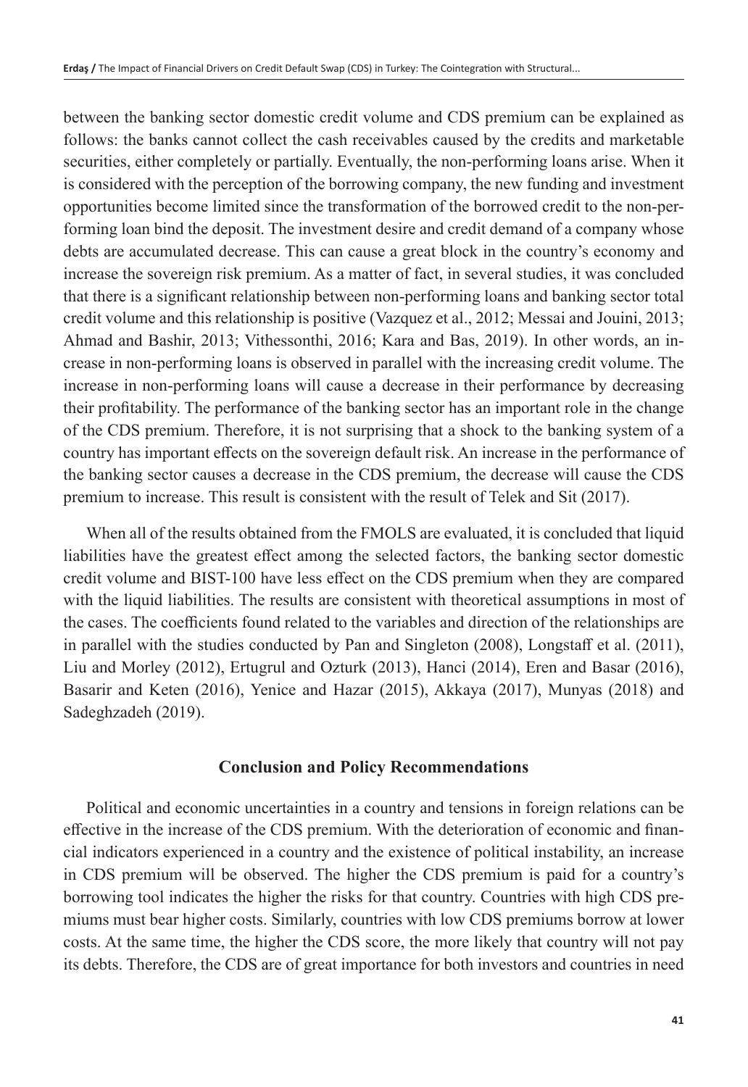between the banking sector domestic credit volume and CDS premium can be explained as follows: the banks cannot collect the cash receivables caused by the credits and marketable securities, either completely or partially. Eventually, the non-performing loans arise. When it is considered with the perception of the borrowing company, the new funding and investment opportunities become limited since the transformation of the borrowed credit to the non-performing loan bind the deposit. The investment desire and credit demand of a company whose debts are accumulated decrease. This can cause a great block in the country's economy and increase the sovereign risk premium. As a matter of fact, in several studies, it was concluded that there is a significant relationship between non-performing loans and banking sector total credit volume and this relationship is positive (Vazquez et al., 2012; Messai and Jouini, 2013; Ahmad and Bashir, 2013; Vithessonthi, 2016; Kara and Bas, 2019). In other words, an increase in non-performing loans is observed in parallel with the increasing credit volume. The increase in non-performing loans will cause a decrease in their performance by decreasing their profitability. The performance of the banking sector has an important role in the change of the CDS premium. Therefore, it is not surprising that a shock to the banking system of a country has important effects on the sovereign default risk. An increase in the performance of the banking sector causes a decrease in the CDS premium, the decrease will cause the CDS premium to increase. This result is consistent with the result of Telek and Sit (2017).

When all of the results obtained from the FMOLS are evaluated, it is concluded that liquid liabilities have the greatest effect among the selected factors, the banking sector domestic credit volume and BIST-100 have less effect on the CDS premium when they are compared with the liquid liabilities. The results are consistent with theoretical assumptions in most of the cases. The coefficients found related to the variables and direction of the relationships are in parallel with the studies conducted by Pan and Singleton (2008), Longstaff et al. (2011), Liu and Morley (2012), Ertugrul and Ozturk (2013), Hanci (2014), Eren and Basar (2016), Basarir and Keten (2016), Yenice and Hazar (2015), Akkaya (2017), Munyas (2018) and Sadeghzadeh (2019).

## **Conclusion and Policy Recommendations**

Political and economic uncertainties in a country and tensions in foreign relations can be effective in the increase of the CDS premium. With the deterioration of economic and financial indicators experienced in a country and the existence of political instability, an increase in CDS premium will be observed. The higher the CDS premium is paid for a country's borrowing tool indicates the higher the risks for that country. Countries with high CDS premiums must bear higher costs. Similarly, countries with low CDS premiums borrow at lower costs. At the same time, the higher the CDS score, the more likely that country will not pay its debts. Therefore, the CDS are of great importance for both investors and countries in need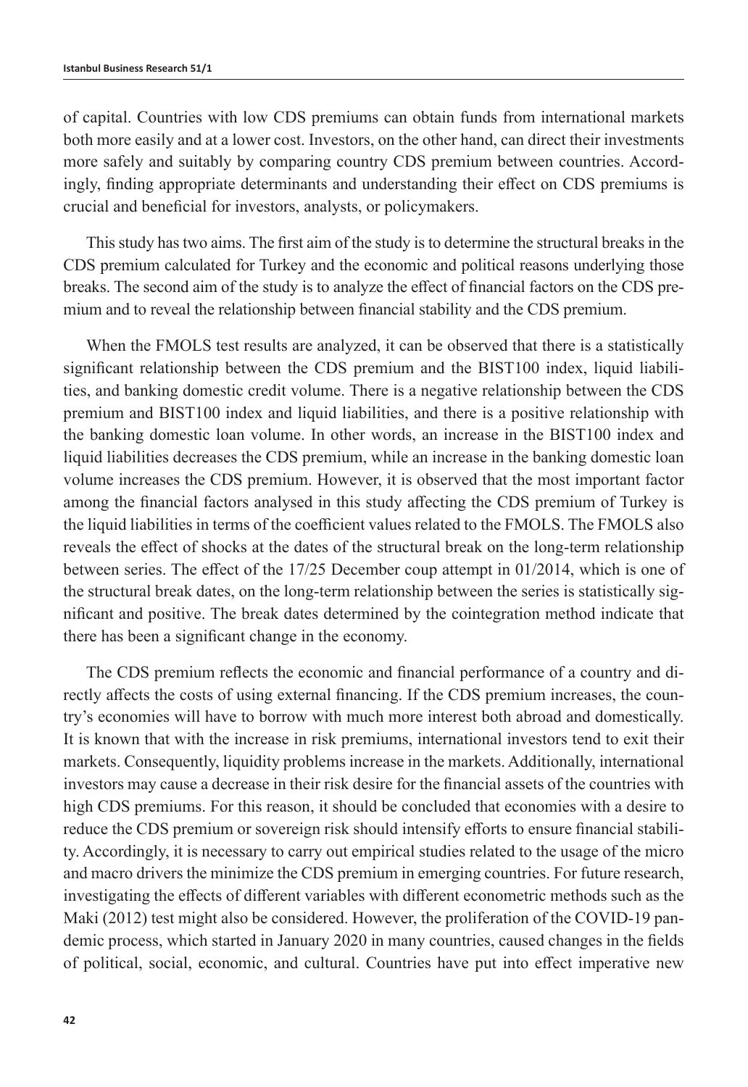of capital. Countries with low CDS premiums can obtain funds from international markets both more easily and at a lower cost. Investors, on the other hand, can direct their investments more safely and suitably by comparing country CDS premium between countries. Accordingly, finding appropriate determinants and understanding their effect on CDS premiums is crucial and beneficial for investors, analysts, or policymakers.

This study has two aims. The first aim of the study is to determine the structural breaks in the CDS premium calculated for Turkey and the economic and political reasons underlying those breaks. The second aim of the study is to analyze the effect of financial factors on the CDS premium and to reveal the relationship between financial stability and the CDS premium.

When the FMOLS test results are analyzed, it can be observed that there is a statistically significant relationship between the CDS premium and the BIST100 index, liquid liabilities, and banking domestic credit volume. There is a negative relationship between the CDS premium and BIST100 index and liquid liabilities, and there is a positive relationship with the banking domestic loan volume. In other words, an increase in the BIST100 index and liquid liabilities decreases the CDS premium, while an increase in the banking domestic loan volume increases the CDS premium. However, it is observed that the most important factor among the financial factors analysed in this study affecting the CDS premium of Turkey is the liquid liabilities in terms of the coefficient values related to the FMOLS. The FMOLS also reveals the effect of shocks at the dates of the structural break on the long-term relationship between series. The effect of the 17/25 December coup attempt in 01/2014, which is one of the structural break dates, on the long-term relationship between the series is statistically significant and positive. The break dates determined by the cointegration method indicate that there has been a significant change in the economy.

The CDS premium reflects the economic and financial performance of a country and directly affects the costs of using external financing. If the CDS premium increases, the country's economies will have to borrow with much more interest both abroad and domestically. It is known that with the increase in risk premiums, international investors tend to exit their markets. Consequently, liquidity problems increase in the markets. Additionally, international investors may cause a decrease in their risk desire for the financial assets of the countries with high CDS premiums. For this reason, it should be concluded that economies with a desire to reduce the CDS premium or sovereign risk should intensify efforts to ensure financial stability. Accordingly, it is necessary to carry out empirical studies related to the usage of the micro and macro drivers the minimize the CDS premium in emerging countries. For future research, investigating the effects of different variables with different econometric methods such as the Maki (2012) test might also be considered. However, the proliferation of the COVID-19 pandemic process, which started in January 2020 in many countries, caused changes in the fields of political, social, economic, and cultural. Countries have put into effect imperative new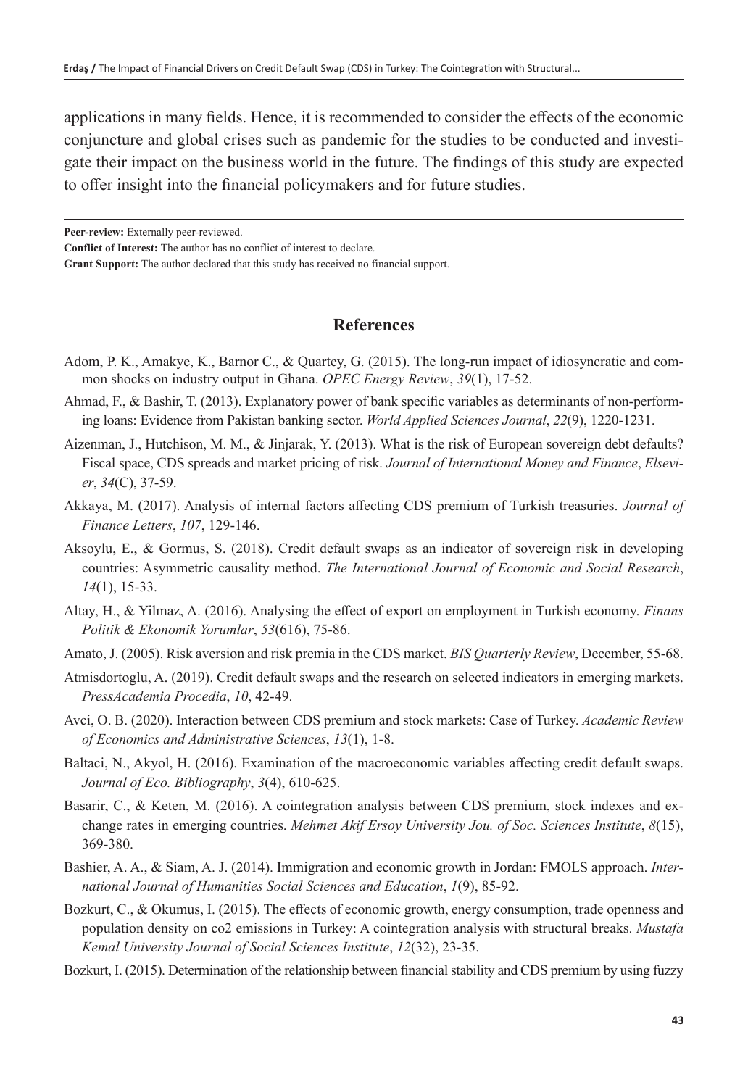applications in many fields. Hence, it is recommended to consider the effects of the economic conjuncture and global crises such as pandemic for the studies to be conducted and investigate their impact on the business world in the future. The findings of this study are expected to offer insight into the financial policymakers and for future studies.

**Peer-review:** Externally peer-reviewed.

**Conflict of Interest:** The author has no conflict of interest to declare.

**Grant Support:** The author declared that this study has received no financial support.

## **References**

- Adom, P. K., Amakye, K., Barnor C., & Quartey, G. (2015). The long-run impact of idiosyncratic and common shocks on industry output in Ghana. *OPEC Energy Review*, *39*(1), 17-52.
- Ahmad, F., & Bashir, T. (2013). Explanatory power of bank specific variables as determinants of non-performing loans: Evidence from Pakistan banking sector. *World Applied Sciences Journal*, *22*(9), 1220-1231.
- Aizenman, J., Hutchison, M. M., & Jinjarak, Y. (2013). What is the risk of European sovereign debt defaults? Fiscal space, CDS spreads and market pricing of risk. *Journal of International Money and Finance*, *Elsevier*, *34*(C), 37-59.
- Akkaya, M. (2017). Analysis of internal factors affecting CDS premium of Turkish treasuries. *Journal of Finance Letters*, *107*, 129-146.
- Aksoylu, E., & Gormus, S. (2018). Credit default swaps as an indicator of sovereign risk in developing countries: Asymmetric causality method. *The International Journal of Economic and Social Research*, *14*(1), 15-33.
- Altay, H., & Yilmaz, A. (2016). Analysing the effect of export on employment in Turkish economy. *Finans Politik & Ekonomik Yorumlar*, *53*(616), 75-86.
- Amato, J. (2005). Risk aversion and risk premia in the CDS market. *BIS Quarterly Review*, December, 55-68.
- Atmisdortoglu, A. (2019). Credit default swaps and the research on selected indicators in emerging markets. *PressAcademia Procedia*, *10*, 42-49.
- Avci, O. B. (2020). Interaction between CDS premium and stock markets: Case of Turkey. *Academic Review of Economics and Administrative Sciences*, *13*(1), 1-8.
- Baltaci, N., Akyol, H. (2016). Examination of the macroeconomic variables affecting credit default swaps. *Journal of Eco. Bibliography*, *3*(4), 610-625.
- Basarir, C., & Keten, M. (2016). A cointegration analysis between CDS premium, stock indexes and exchange rates in emerging countries. *Mehmet Akif Ersoy University Jou. of Soc. Sciences Institute*, *8*(15), 369-380.
- Bashier, A. A., & Siam, A. J. (2014). Immigration and economic growth in Jordan: FMOLS approach. *International Journal of Humanities Social Sciences and Education*, *1*(9), 85-92.
- Bozkurt, C., & Okumus, I. (2015). The effects of economic growth, energy consumption, trade openness and population density on co2 emissions in Turkey: A cointegration analysis with structural breaks. *Mustafa Kemal University Journal of Social Sciences Institute*, *12*(32), 23-35.
- Bozkurt, I. (2015). Determination of the relationship between financial stability and CDS premium by using fuzzy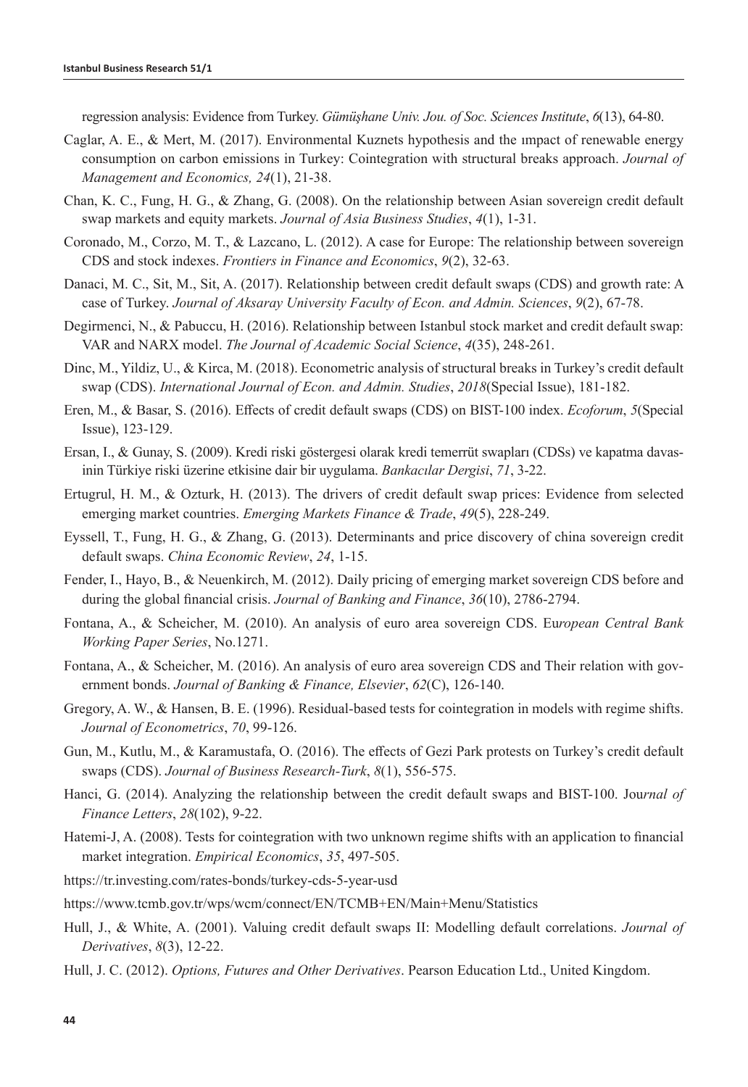regression analysis: Evidence from Turkey. *Gümüşhane Univ. Jou. of Soc. Sciences Institute*, *6*(13), 64-80.

- Caglar, A. E., & Mert, M. (2017). Environmental Kuznets hypothesis and the ımpact of renewable energy consumption on carbon emissions in Turkey: Cointegration with structural breaks approach. *Journal of Management and Economics, 24*(1), 21-38.
- Chan, K. C., Fung, H. G., & Zhang, G. (2008). On the relationship between Asian sovereign credit default swap markets and equity markets. *Journal of Asia Business Studies*, *4*(1), 1-31.
- Coronado, M., Corzo, M. T., & Lazcano, L. (2012). A case for Europe: The relationship between sovereign CDS and stock indexes. *Frontiers in Finance and Economics*, *9*(2), 32-63.
- Danaci, M. C., Sit, M., Sit, A. (2017). Relationship between credit default swaps (CDS) and growth rate: A case of Turkey. *Journal of Aksaray University Faculty of Econ. and Admin. Sciences*, *9*(2), 67-78.
- Degirmenci, N., & Pabuccu, H. (2016). Relationship between Istanbul stock market and credit default swap: VAR and NARX model. *The Journal of Academic Social Science*, *4*(35), 248-261.
- Dinc, M., Yildiz, U., & Kirca, M. (2018). Econometric analysis of structural breaks in Turkey's credit default swap (CDS). *International Journal of Econ. and Admin. Studies*, *2018*(Special Issue), 181-182.
- Eren, M., & Basar, S. (2016). Effects of credit default swaps (CDS) on BIST-100 index. *Ecoforum*, *5*(Special Issue), 123-129.
- Ersan, I., & Gunay, S. (2009). Kredi riski göstergesi olarak kredi temerrüt swapları (CDSs) ve kapatma davasinin Türkiye riski üzerine etkisine dair bir uygulama. *Bankacılar Dergisi*, *71*, 3-22.
- Ertugrul, H. M., & Ozturk, H. (2013). The drivers of credit default swap prices: Evidence from selected emerging market countries. *Emerging Markets Finance & Trade*, *49*(5), 228-249.
- Eyssell, T., Fung, H. G., & Zhang, G. (2013). Determinants and price discovery of china sovereign credit default swaps. *China Economic Review*, *24*, 1-15.
- Fender, I., Hayo, B., & Neuenkirch, M. (2012). Daily pricing of emerging market sovereign CDS before and during the global financial crisis. *Journal of Banking and Finance*, *36*(10), 2786-2794.
- Fontana, A., & Scheicher, M. (2010). An analysis of euro area sovereign CDS. Eu*ropean Central Bank Working Paper Series*, No.1271.
- Fontana, A., & Scheicher, M. (2016). An analysis of euro area sovereign CDS and Their relation with government bonds. *Journal of Banking & Finance, Elsevier*, *62*(C), 126-140.
- Gregory, A. W., & Hansen, B. E. (1996). Residual-based tests for cointegration in models with regime shifts. *Journal of Econometrics*, *70*, 99-126.
- Gun, M., Kutlu, M., & Karamustafa, O. (2016). The effects of Gezi Park protests on Turkey's credit default swaps (CDS). *Journal of Business Research-Turk*, *8*(1), 556-575.
- Hanci, G. (2014). Analyzing the relationship between the credit default swaps and BIST-100. Jou*rnal of Finance Letters*, *28*(102), 9-22.
- Hatemi-J, A. (2008). Tests for cointegration with two unknown regime shifts with an application to financial market integration. *Empirical Economics*, *35*, 497-505.
- https://tr.investing.com/rates-bonds/turkey-cds-5-year-usd
- https://www.tcmb.gov.tr/wps/wcm/connect/EN/TCMB+EN/Main+Menu/Statistics
- Hull, J., & White, A. (2001). Valuing credit default swaps II: Modelling default correlations. *Journal of Derivatives*, *8*(3), 12-22.
- Hull, J. C. (2012). *Options, Futures and Other Derivatives*. Pearson Education Ltd., United Kingdom.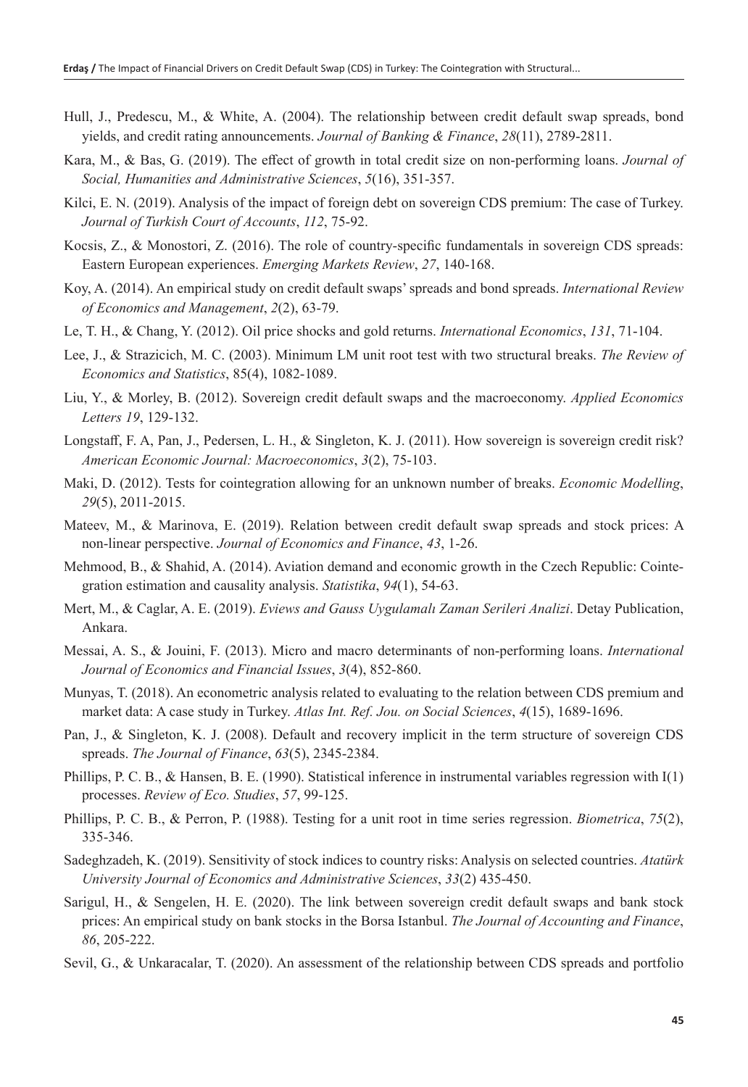- Hull, J., Predescu, M., & White, A. (2004). The relationship between credit default swap spreads, bond yields, and credit rating announcements. *Journal of Banking & Finance*, *28*(11), 2789-2811.
- Kara, M., & Bas, G. (2019). The effect of growth in total credit size on non-performing loans. *Journal of Social, Humanities and Administrative Sciences*, *5*(16), 351-357.
- Kilci, E. N. (2019). Analysis of the impact of foreign debt on sovereign CDS premium: The case of Turkey. *Journal of Turkish Court of Accounts*, *112*, 75-92.
- Kocsis, Z., & Monostori, Z. (2016). The role of country-specific fundamentals in sovereign CDS spreads: Eastern European experiences. *Emerging Markets Review*, *27*, 140-168.
- Koy, A. (2014). An empirical study on credit default swaps' spreads and bond spreads. *International Review of Economics and Management*, *2*(2), 63-79.
- Le, T. H., & Chang, Y. (2012). Oil price shocks and gold returns. *International Economics*, *131*, 71-104.
- Lee, J., & Strazicich, M. C. (2003). Minimum LM unit root test with two structural breaks. *The Review of Economics and Statistics*, 85(4), 1082-1089.
- Liu, Y., & Morley, B. (2012). Sovereign credit default swaps and the macroeconomy. *Applied Economics Letters 19*, 129-132.
- Longstaff, F. A, Pan, J., Pedersen, L. H., & Singleton, K. J. (2011). How sovereign is sovereign credit risk? *American Economic Journal: Macroeconomics*, *3*(2), 75-103.
- Maki, D. (2012). Tests for cointegration allowing for an unknown number of breaks. *Economic Modelling*, *29*(5), 2011-2015.
- Mateev, M., & Marinova, E. (2019). Relation between credit default swap spreads and stock prices: A non-linear perspective. *Journal of Economics and Finance*, *43*, 1-26.
- Mehmood, B., & Shahid, A. (2014). Aviation demand and economic growth in the Czech Republic: Cointegration estimation and causality analysis. *Statistika*, *94*(1), 54-63.
- Mert, M., & Caglar, A. E. (2019). *Eviews and Gauss Uygulamalı Zaman Serileri Analizi*. Detay Publication, Ankara.
- Messai, A. S., & Jouini, F. (2013). Micro and macro determinants of non-performing loans. *International Journal of Economics and Financial Issues*, *3*(4), 852-860.
- Munyas, T. (2018). An econometric analysis related to evaluating to the relation between CDS premium and market data: A case study in Turkey. *Atlas Int. Ref. Jou. on Social Sciences*, *4*(15), 1689-1696.
- Pan, J., & Singleton, K. J. (2008). Default and recovery implicit in the term structure of sovereign CDS spreads. *The Journal of Finance*, *63*(5), 2345-2384.
- Phillips, P. C. B., & Hansen, B. E. (1990). Statistical inference in instrumental variables regression with I(1) processes. *Review of Eco. Studies*, *57*, 99-125.
- Phillips, P. C. B., & Perron, P. (1988). Testing for a unit root in time series regression. *Biometrica*, *75*(2), 335-346.
- Sadeghzadeh, K. (2019). Sensitivity of stock indices to country risks: Analysis on selected countries. *Atatürk University Journal of Economics and Administrative Sciences*, *33*(2) 435-450.
- Sarigul, H., & Sengelen, H. E. (2020). The link between sovereign credit default swaps and bank stock prices: An empirical study on bank stocks in the Borsa Istanbul. *The Journal of Accounting and Finance*, *86*, 205-222.
- Sevil, G., & Unkaracalar, T. (2020). An assessment of the relationship between CDS spreads and portfolio